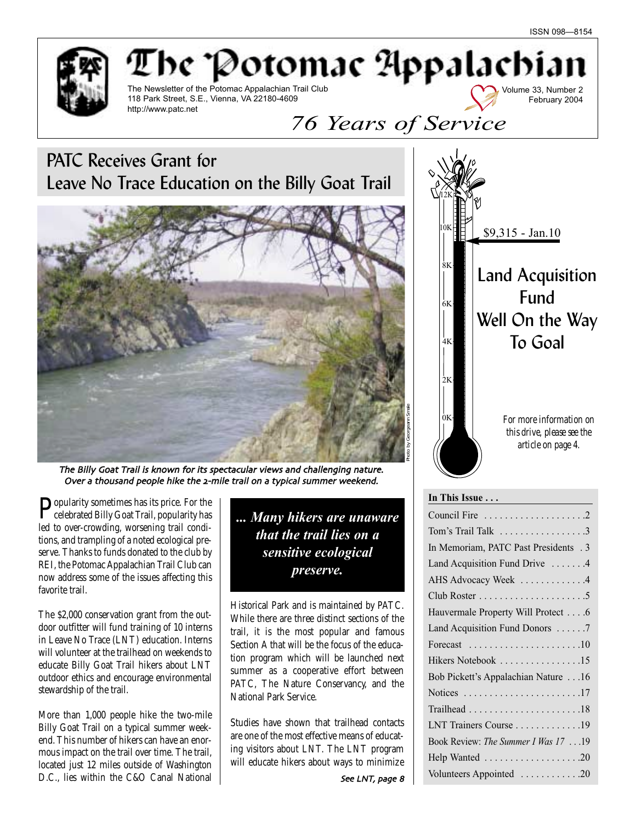Volume 33, Number 2 February 2004



The Potomac Appalachia The Newsletter of the Potomac Appalachian Trail Club 118 Park Street, S.E., Vienna, VA 22180-4609 http://www.patc.net

# *76 Years of Service*

PATC Receives Grant for Leave No Trace Education on the Billy Goat Trail



The Billy Goat Trail is known for its spectacular views and challenging nature Over a thousand people hike the 2-mile trail on a typical summer weekend.

**P**opularity sometimes has its price. For the celebrated Billy Goat Trail, popularity has led to over-crowding, worsening trail conditions, and trampling of a noted ecological preserve. Thanks to funds donated to the club by REI, the Potomac Appalachian Trail Club can now address some of the issues affecting this favorite trail.

The \$2,000 conservation grant from the outdoor outfitter will fund training of 10 interns in Leave No Trace (LNT) education. Interns will volunteer at the trailhead on weekends to educate Billy Goat Trail hikers about LNT outdoor ethics and encourage environmental stewardship of the trail.

More than 1,000 people hike the two-mile Billy Goat Trail on a typical summer weekend. This number of hikers can have an enormous impact on the trail over time. The trail, located just 12 miles outside of Washington D.C., lies within the C&O Canal National *... Many hikers are unaware that the trail lies on a sensitive ecological preserve.*

Historical Park and is maintained by PATC. While there are three distinct sections of the trail, it is the most popular and famous Section A that will be the focus of the education program which will be launched next summer as a cooperative effort between PATC, The Nature Conservancy, and the National Park Service.

Studies have shown that trailhead contacts are one of the most effective means of educating visitors about LNT. The LNT program will educate hikers about ways to minimize



#### **In This Issue . . .**

| Tom's Trail Talk 3                                                  |
|---------------------------------------------------------------------|
| In Memoriam, PATC Past Presidents . 3                               |
| Land Acquisition Fund Drive 4                                       |
| AHS Advocacy Week 4                                                 |
|                                                                     |
| Hauvermale Property Will Protect 6                                  |
| Land Acquisition Fund Donors 7                                      |
| Forecast $\dots \dots \dots \dots \dots \dots \dots \dots \dots 10$ |
| Hikers Notebook 15                                                  |
| Bob Pickett's Appalachian Nature 16                                 |
| Notices 17                                                          |
|                                                                     |
| LNT Trainers Course 19                                              |
| Book Review: The Summer I Was 17 19                                 |
| Help Wanted 20                                                      |
| Volunteers Appointed 20                                             |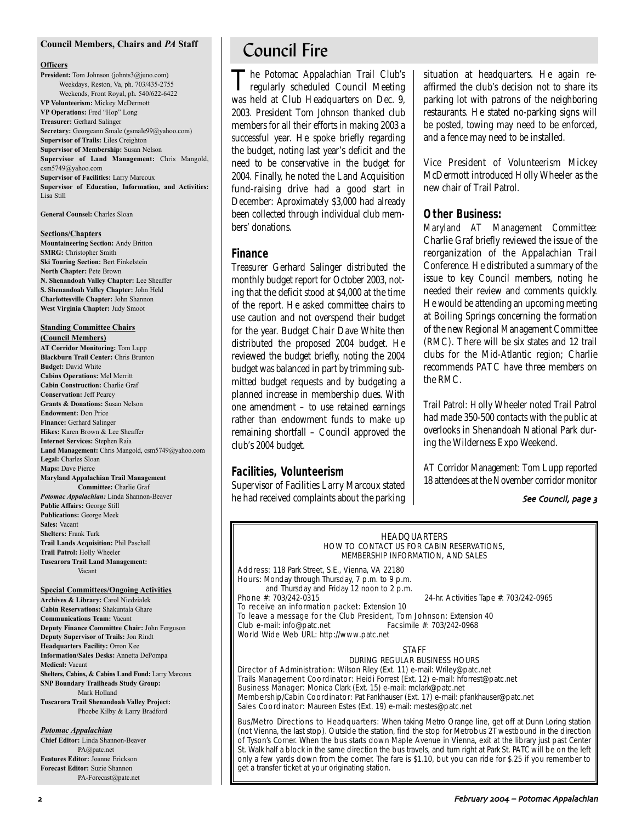#### **Council Members, Chairs and** *PA* **Staff**

#### **Officers**

**President:** Tom Johnson (johnts3@juno.com) Weekdays, Reston, Va, ph. 703/435-2755 Weekends, Front Royal, ph. 540/622-6422 **VP Volunteerism:** Mickey McDermott **VP Operations:** Fred "Hop" Long **Treasurer:** Gerhard Salinger **Secretary:** Georgeann Smale (gsmale99@yahoo.com) **Supervisor of Trails:** Liles Creighton **Supervisor of Membership:** Susan Nelson **Supervisor of Land Management:** Chris Mangold, csm5749@yahoo.com **Supervisor of Facilities:** Larry Marcoux **Supervisor of Education, Information, and Activities:** Lisa Still

**General Counsel:** Charles Sloan

#### **Sections/Chapters**

**Mountaineering Section:** Andy Britton **SMRG:** Christopher Smith **Ski Touring Section:** Bert Finkelstein **North Chapter:** Pete Brown **N. Shenandoah Valley Chapter:** Lee Sheaffer **S. Shenandoah Valley Chapter:** John Held **Charlottesville Chapter:** John Shannon **West Virginia Chapter:** Judy Smoot

### **Standing Committee Chairs**

**(Council Members) AT Corridor Monitoring:** Tom Lupp **Blackburn Trail Center:** Chris Brunton **Budget:** David White **Cabins Operations:** Mel Merritt **Cabin Construction:** Charlie Graf **Conservation:** Jeff Pearcy **Grants & Donations:** Susan Nelson **Endowment:** Don Price **Finance:** Gerhard Salinger **Hikes:** Karen Brown & Lee Sheaffer **Internet Services:** Stephen Raia **Land Management:** Chris Mangold, csm5749@yahoo.com **Legal:** Charles Sloan **Maps:** Dave Pierce **Maryland Appalachian Trail Management Committee:** Charlie Graf *Potomac Appalachian:* Linda Shannon-Beaver **Public Affairs:** George Still **Publications:** George Meek **Sales:** Vacant **Shelters:** Frank Turk **Trail Lands Acquisition:** Phil Paschall **Trail Patrol:** Holly Wheeler

**Tuscarora Trail Land Management:** Vacant

#### **Special Committees/Ongoing Activities**

**Archives & Library:** Carol Niedzialek **Cabin Reservations:** Shakuntala Ghare **Communications Team:** Vacant **Deputy Finance Committee Chair:** John Ferguson **Deputy Supervisor of Trails:** Jon Rindt **Headquarters Facility:** Orron Kee **Information/Sales Desks:** Annetta DePompa **Medical:** Vacant **Shelters, Cabins, & Cabins Land Fund:** Larry Marcoux **SNP Boundary Trailheads Study Group:** Mark Holland **Tuscarora Trail Shenandoah Valley Project:** Phoebe Kilby & Larry Bradford

#### *Potomac Appalachian*

**Chief Editor:** Linda Shannon-Beaver PA@patc.net **Features Editor:** Joanne Erickson **Forecast Editor:** Suzie Shannon PA-Forecast@patc.net

## Council Fire

The Potomac Appalachian Trail Club's regularly scheduled Council Meeting was held at Club Headquarters on Dec. 9, 2003. President Tom Johnson thanked club members for all their efforts in making 2003 a successful year. He spoke briefly regarding the budget, noting last year's deficit and the need to be conservative in the budget for 2004. Finally, he noted the Land Acquisition fund-raising drive had a good start in December: Aproximately \$3,000 had already been collected through individual club members' donations.

#### **Finance**

Treasurer Gerhard Salinger distributed the monthly budget report for October 2003, noting that the deficit stood at \$4,000 at the time of the report. He asked committee chairs to use caution and not overspend their budget for the year. Budget Chair Dave White then distributed the proposed 2004 budget. He reviewed the budget briefly, noting the 2004 budget was balanced in part by trimming submitted budget requests and by budgeting a planned increase in membership dues. With one amendment – to use retained earnings rather than endowment funds to make up remaining shortfall – Council approved the club's 2004 budget.

### **Facilities, Volunteerism**

Supervisor of Facilities Larry Marcoux stated he had received complaints about the parking situation at headquarters. He again reaffirmed the club's decision not to share its parking lot with patrons of the neighboring restaurants. He stated no-parking signs will be posted, towing may need to be enforced, and a fence may need to be installed.

Vice President of Volunteerism Mickey McDermott introduced Holly Wheeler as the new chair of Trail Patrol.

### **Other Business:**

*Maryland AT Management Committee:* Charlie Graf briefly reviewed the issue of the reorganization of the Appalachian Trail Conference. He distributed a summary of the issue to key Council members, noting he needed their review and comments quickly. He would be attending an upcoming meeting at Boiling Springs concerning the formation of the new Regional Management Committee (RMC). There will be six states and 12 trail clubs for the Mid-Atlantic region; Charlie recommends PATC have three members on the RMC.

*Trail Patrol:* Holly Wheeler noted Trail Patrol had made 350-500 contacts with the public at overlooks in Shenandoah National Park during the Wilderness Expo Weekend.

*AT Corridor Management:* Tom Lupp reported 18 attendees at the November corridor monitor

#### See Council, page 3

#### HEADQUARTERS HOW TO CONTACT US FOR CABIN RESERVATIONS, MEMBERSHIP INFORMATION, AND SALES

Address: 118 Park Street, S.E., Vienna, VA 22180 Hours: Monday through Thursday, 7 p.m. to 9 p.m. and Thursday and Friday 12 noon to 2 p.m.<br>Phone #: 703/242-0315 24-hr. Activities Tape #: 703/242-0965 To receive an information packet: Extension 10

To leave a message for the Club President, Tom Johnson: Extension 40<br>Club e-mail: info@patc.net Facsimile #: 703/242-0968  $Club$  e-mail: info@patc.net World Wide Web URL: http://www.patc.net

### STAFF

DURING REGULAR BUSINESS HOURS

Director of Administration: Wilson Riley (Ext. 11) e-mail: Wriley@patc.net Trails Management Coordinator: Heidi Forrest (Ext. 12) e-mail: hforrest@patc.net Business Manager: Monica Clark (Ext. 15) e-mail: mclark@patc.net Membership/Cabin Coordinator: Pat Fankhauser (Ext. 17) e-mail: pfankhauser@patc.net Sales Coordinator: Maureen Estes (Ext. 19) e-mail: mestes@patc.net

Bus/Metro Directions to Headquarters: When taking Metro Orange line, get off at Dunn Loring station (not Vienna, the last stop). Outside the station, find the stop for Metrobus 2T westbound in the direction of Tyson's Corner. When the bus starts down Maple Avenue in Vienna, exit at the library just past Center St. Walk half a block in the same direction the bus travels, and turn right at Park St. PATC will be on the left only a few yards down from the corner. The fare is \$1.10, but you can ride for \$.25 if you remember to get a transfer ticket at your originating station.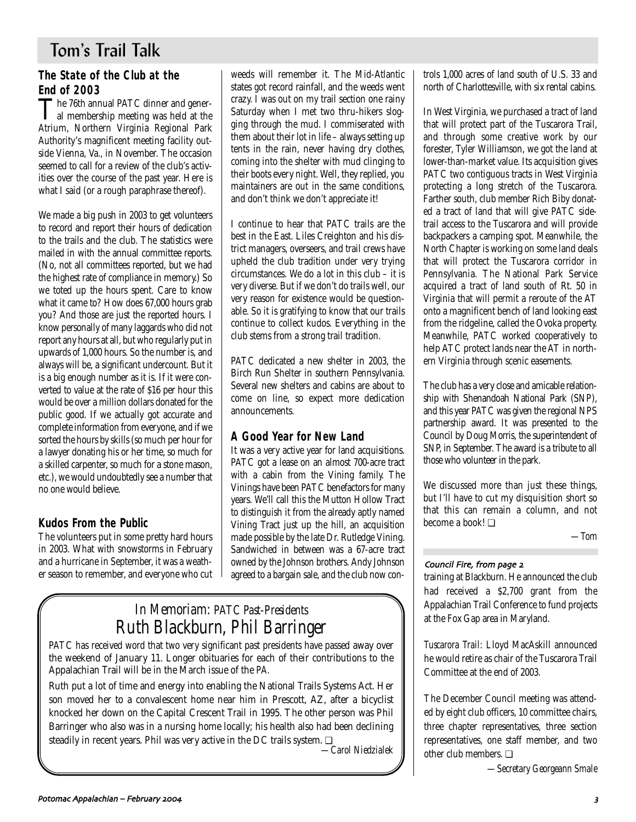## Tom's Trail Talk

## **The State of the Club at the End of 2003**<br>The 76th annual PATC dinner and gener-

The 76th annual PATC dinner and gener-al membership meeting was held at the Atrium, Northern Virginia Regional Park Authority's magnificent meeting facility outside Vienna, Va., in November. The occasion seemed to call for a review of the club's activities over the course of the past year. Here is what I said (or a rough paraphrase thereof).

We made a big push in 2003 to get volunteers to record and report their hours of dedication to the trails and the club. The statistics were mailed in with the annual committee reports. (No, not all committees reported, but we had the highest rate of compliance in memory.) So we toted up the hours spent. Care to know what it came to? How does 67,000 hours grab you? And those are just the reported hours. I know personally of many laggards who did not report any hours at all, but who regularly put in upwards of 1,000 hours. So the number is, and always will be, a significant undercount. But it is a big enough number as it is. If it were converted to value at the rate of \$16 per hour this would be over a million dollars donated for the public good. If we actually got accurate and complete information from everyone, and if we sorted the hours by skills (so much per hour for a lawyer donating his or her time, so much for a skilled carpenter, so much for a stone mason, etc.), we would undoubtedly see a number that no one would believe.

### **Kudos From the Public**

The volunteers put in some pretty hard hours in 2003. What with snowstorms in February and a hurricane in September, it was a weather season to remember, and everyone who cut weeds will remember it. The Mid-Atlantic states got record rainfall, and the weeds went crazy. I was out on my trail section one rainy Saturday when I met two thru-hikers slogging through the mud. I commiserated with them about their lot in life – always setting up tents in the rain, never having dry clothes, coming into the shelter with mud clinging to their boots every night. Well, they replied, you maintainers are out in the same conditions, and don't think we don't appreciate it!

I continue to hear that PATC trails are the best in the East. Liles Creighton and his district managers, overseers, and trail crews have upheld the club tradition under very trying circumstances. We do a lot in this club – it is very diverse. But if we don't do trails well, our very reason for existence would be questionable. So it is gratifying to know that our trails continue to collect kudos. Everything in the club stems from a strong trail tradition.

PATC dedicated a new shelter in 2003, the Birch Run Shelter in southern Pennsylvania. Several new shelters and cabins are about to come on line, so expect more dedication announcements.

### **A Good Year for New Land**

It was a very active year for land acquisitions. PATC got a lease on an almost 700-acre tract with a cabin from the Vining family. The Vinings have been PATC benefactors for many years. We'll call this the Mutton Hollow Tract to distinguish it from the already aptly named Vining Tract just up the hill, an acquisition made possible by the late Dr. Rutledge Vining. Sandwiched in between was a 67-acre tract owned by the Johnson brothers. Andy Johnson agreed to a bargain sale, and the club now con-

## *In Memoriam: PATC Past-Presidents Ruth Blackburn, Phil Barringer*

PATC has received word that two very significant past presidents have passed away over the weekend of January 11. Longer obituaries for each of their contributions to the Appalachian Trail will be in the March issue of the *PA.*

Ruth put a lot of time and energy into enabling the National Trails Systems Act. Her son moved her to a convalescent home near him in Prescott, AZ, after a bicyclist knocked her down on the Capital Crescent Trail in 1995. The other person was Phil Barringer who also was in a nursing home locally; his health also had been declining steadily in recent years. Phil was very active in the DC trails system. □

*—Carol Niedzialek*

trols 1,000 acres of land south of U.S. 33 and north of Charlottesville, with six rental cabins.

In West Virginia, we purchased a tract of land that will protect part of the Tuscarora Trail, and through some creative work by our forester, Tyler Williamson, we got the land at lower-than-market value. Its acquisition gives PATC two contiguous tracts in West Virginia protecting a long stretch of the Tuscarora. Farther south, club member Rich Biby donated a tract of land that will give PATC sidetrail access to the Tuscarora and will provide backpackers a camping spot. Meanwhile, the North Chapter is working on some land deals that will protect the Tuscarora corridor in Pennsylvania. The National Park Service acquired a tract of land south of Rt. 50 in Virginia that will permit a reroute of the AT onto a magnificent bench of land looking east from the ridgeline, called the Ovoka property. Meanwhile, PATC worked cooperatively to help ATC protect lands near the AT in northern Virginia through scenic easements.

The club has a very close and amicable relationship with Shenandoah National Park (SNP), and this year PATC was given the regional NPS partnership award. It was presented to the Council by Doug Morris, the superintendent of SNP, in September. The award is a tribute to all those who volunteer in the park.

We discussed more than just these things, but I'll have to cut my disquisition short so that this can remain a column, and not become a book! ❏

*—Tom*

### Council Fire, from page 2

training at Blackburn. He announced the club had received a \$2,700 grant from the Appalachian Trail Conference to fund projects at the Fox Gap area in Maryland.

*Tuscarora Trail:* Lloyd MacAskill announced he would retire as chair of the Tuscarora Trail Committee at the end of 2003.

The December Council meeting was attended by eight club officers, 10 committee chairs, three chapter representatives, three section representatives, one staff member, and two other club members. ❏

*—Secretary Georgeann Smale*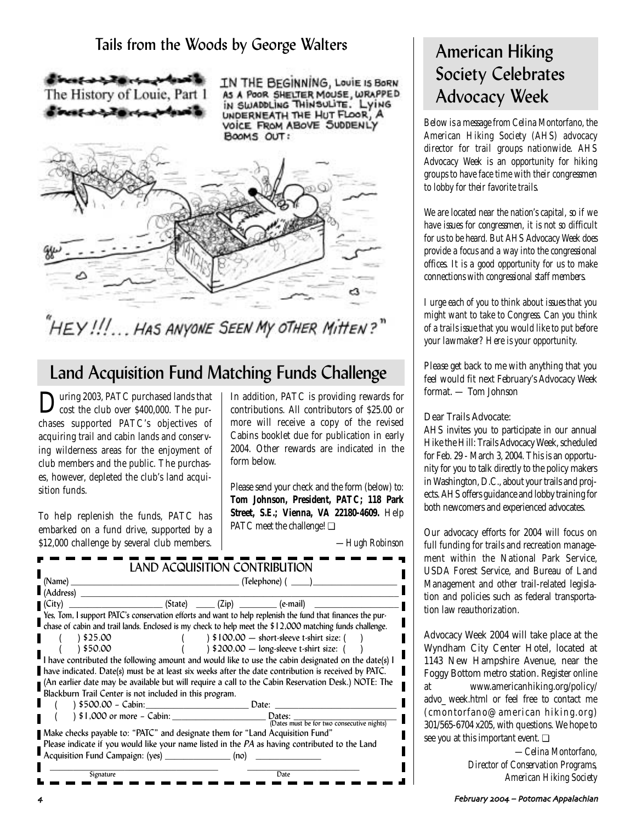## Tails from the Woods by George Walters



IN THE BEGINNING, LouiE IS BORN AS A POOR SHELTER MOUSE, WRAPPED<br>IN SWADDLING THINSOLITE. LYING<br>UNDERNEATH THE HUT FLOOR, A VOICE FROM ABOVE SUDDENLY BOOMS OUT:



# "HEY!!!...Has anyone Seen My other Mitten?"

## Land Acquisition Fund Matching Funds Challenge

During 2003, PATC purchased lands that<br>cost the club over \$400,000. The purchases supported PATC's objectives of acquiring trail and cabin lands and conserving wilderness areas for the enjoyment of club members and the public. The purchases, however, depleted the club's land acquisition funds.

To help replenish the funds, PATC has embarked on a fund drive, supported by a \$12,000 challenge by several club members. In addition, PATC is providing rewards for contributions. All contributors of \$25.00 or more will receive a copy of the revised Cabins booklet due for publication in early 2004. Other rewards are indicated in the form below.

Please send your check and the form (below) to: **Tom Johnson, President, PATC; 118 Park Street, S.E.; Vienna, VA 22180-4609.** Help PATC meet the challenge! ❏

*—Hugh Robinson*

| (Name)                                                                          | _ (Telephone) ( _____) |  |                                                                                                            |  |
|---------------------------------------------------------------------------------|------------------------|--|------------------------------------------------------------------------------------------------------------|--|
| (Address)                                                                       |                        |  |                                                                                                            |  |
| (City)                                                                          |                        |  | $(State)$ $(Zip)$ $(Zip)$ $( e-mail)$                                                                      |  |
|                                                                                 |                        |  | Yes, Tom, I support PATC's conservation efforts and want to help replenish the fund that finances the pur- |  |
|                                                                                 |                        |  | chase of cabin and trail lands. Enclosed is my check to help meet the \$12,000 matching funds challenge.   |  |
| 825.00 \                                                                        |                        |  | $\frac{1}{2}$ \$100.00 - short-sleeve t-shirt size: (                                                      |  |
| 850.00 ١                                                                        |                        |  | $\frac{1}{200.00}$ - long-sleeve t-shirt size: (                                                           |  |
|                                                                                 |                        |  | I have contributed the following amount and would like to use the cabin designated on the date(s) I        |  |
|                                                                                 |                        |  | have indicated. Date(s) must be at least six weeks after the date contribution is received by PATC.        |  |
|                                                                                 |                        |  | (An earlier date may be available but will require a call to the Cabin Reservation Desk.) NOTE: The        |  |
| Blackburn Trail Center is not included in this program.                         |                        |  |                                                                                                            |  |
| ) \$500.00 - Cabin: Date:                                                       |                        |  |                                                                                                            |  |
|                                                                                 |                        |  | Dates:                                                                                                     |  |
|                                                                                 |                        |  | (Dates must be for two consecutive nights)                                                                 |  |
| ■ Make checks payable to: "PATC" and designate them for "Land Acquisition Fund" |                        |  |                                                                                                            |  |
|                                                                                 |                        |  | Please indicate if you would like your name listed in the PA as having contributed to the Land             |  |
| Acquisition Fund Campaign: (yes) ________________(no)                           |                        |  |                                                                                                            |  |
| Signature                                                                       |                        |  | Date                                                                                                       |  |
|                                                                                 |                        |  |                                                                                                            |  |

## American Hiking Society Celebrates Advocacy Week

*Below is a message from Celina Montorfano, the American Hiking Society (AHS) advocacy director for trail groups nationwide. AHS Advocacy Week is an opportunity for hiking groups to have face time with their congressmen to lobby for their favorite trails.*

*We are located near the nation's capital, so if we have issues for congressmen, it is not so difficult for us to be heard. But AHS Advocacy Week does provide a focus and a way into the congressional offices. It is a good opportunity for us to make connections with congressional staff members.* 

*I urge each of you to think about issues that you might want to take to Congress. Can you think of a trails issue that you would like to put before your lawmaker? Here is your opportunity.*

*Please get back to me with anything that you feel would fit next February's Advocacy Week format. — Tom Johnson*

Dear Trails Advocate:

AHS invites you to participate in our annual Hike the Hill: Trails Advocacy Week, scheduled for Feb. 29 - March 3, 2004. This is an opportunity for you to talk directly to the policy makers in Washington, D.C., about your trails and projects. AHS offers guidance and lobby training for both newcomers and experienced advocates.

Our advocacy efforts for 2004 will focus on full funding for trails and recreation management within the National Park Service, USDA Forest Service, and Bureau of Land Management and other trail-related legislation and policies such as federal transportation law reauthorization.

Advocacy Week 2004 will take place at the Wyndham City Center Hotel, located at 1143 New Hampshire Avenue, near the Foggy Bottom metro station. Register online at www.americanhiking.org/policy/ advo\_ week.html or feel free to contact me (cmontorfano@american hiking.org) 301/565-6704 x205, with questions. We hope to see you at this important event. ❏

*—Celina Montorfano, Director of Conservation Programs, American Hiking Society*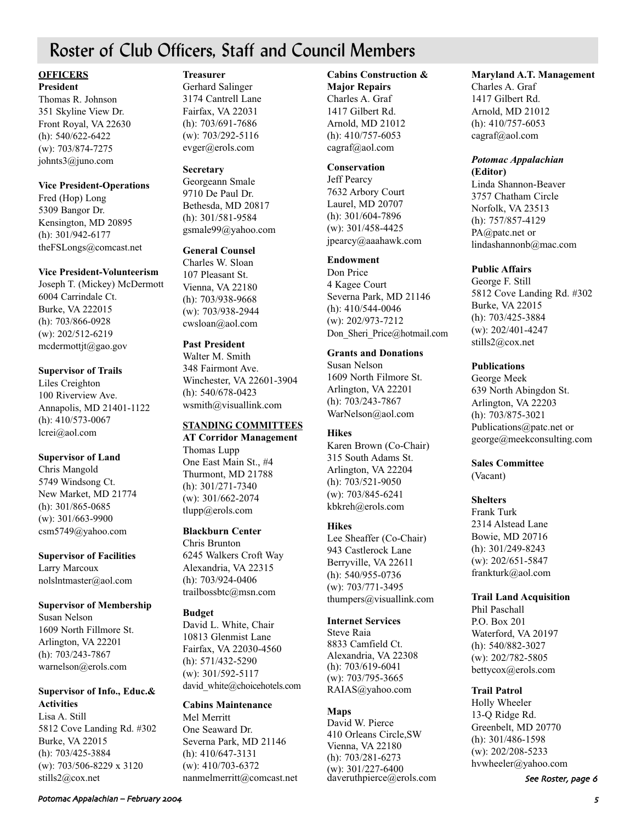## Roster of Club Officers, Staff and Council Members

#### **OFFICERS President**

Thomas R. Johnson 351 Skyline View Dr. Front Royal, VA 22630 (h): 540/622-6422 (w): 703/874-7275 johnts3@juno.com

#### **Vice President-Operations**

Fred (Hop) Long 5309 Bangor Dr. Kensington, MD 20895 (h): 301/942-6177 theFSLongs@comcast.net

### **Vice President-Volunteerism**

Joseph T. (Mickey) McDermott 6004 Carrindale Ct. Burke, VA 222015 (h): 703/866-0928 (w): 202/512-6219 mcdermottjt@gao.gov

### **Supervisor of Trails**

Liles Creighton 100 Riverview Ave. Annapolis, MD 21401-1122 (h): 410/573-0067 lcrei@aol.com

### **Supervisor of Land**

Chris Mangold 5749 Windsong Ct. New Market, MD 21774 (h): 301/865-0685 (w): 301/663-9900 csm5749@yahoo.com

### **Supervisor of Facilities**

Larry Marcoux nolslntmaster@aol.com

### **Supervisor of Membership**

Susan Nelson 1609 North Fillmore St. Arlington, VA 22201 (h): 703/243-7867 warnelson@erols.com

### **Supervisor of Info., Educ.& Activities**

Lisa A. Still 5812 Cove Landing Rd. #302 Burke, VA 22015 (h): 703/425-3884 (w): 703/506-8229 x 3120 stills2@cox.net

### **Treasurer**

Gerhard Salinger 3174 Cantrell Lane Fairfax, VA 22031 (h): 703/691-7686 (w): 703/292-5116 evger@erols.com

#### **Secretary**

Georgeann Smale 9710 De Paul Dr. Bethesda, MD 20817 (h): 301/581-9584 gsmale99@yahoo.com

### **General Counsel**

Charles W. Sloan 107 Pleasant St. Vienna, VA 22180 (h): 703/938-9668 (w): 703/938-2944 cwsloan@aol.com

### **Past President**

Walter M. Smith 348 Fairmont Ave. Winchester, VA 22601-3904 (h): 540/678-0423 wsmith@visuallink.com

### **STANDING COMMITTEES**

**AT Corridor Management** Thomas Lupp One East Main St., #4 Thurmont, MD 21788 (h): 301/271-7340 (w): 301/662-2074 tlupp@erols.com

### **Blackburn Center**

Chris Brunton 6245 Walkers Croft Way Alexandria, VA 22315 (h): 703/924-0406 trailbossbtc@msn.com

### **Budget**

David L. White, Chair 10813 Glenmist Lane Fairfax, VA 22030-4560 (h): 571/432-5290 (w): 301/592-5117 david white@choicehotels.com

### **Cabins Maintenance**

Mel Merritt One Seaward Dr. Severna Park, MD 21146 (h): 410/647-3131 (w): 410/703-6372 nanmelmerritt@comcast.net

### **Cabins Construction &**

**Major Repairs** Charles A. Graf 1417 Gilbert Rd. Arnold, MD 21012 (h): 410/757-6053 cagraf@aol.com

### **Conservation**

Jeff Pearcy 7632 Arbory Court Laurel, MD 20707 (h): 301/604-7896 (w): 301/458-4425 jpearcy@aaahawk.com

### **Endowment**

Don Price 4 Kagee Court Severna Park, MD 21146 (h): 410/544-0046 (w): 202/973-7212 Don Sheri Price@hotmail.com

#### **Grants and Donations**

Susan Nelson 1609 North Filmore St. Arlington, VA 22201 (h): 703/243-7867 WarNelson@aol.com

### **Hikes**

Karen Brown (Co-Chair) 315 South Adams St. Arlington, VA 22204 (h): 703/521-9050 (w): 703/845-6241 kbkreh@erols.com

### **Hikes**

Lee Sheaffer (Co-Chair) 943 Castlerock Lane Berryville, VA 22611 (h): 540/955-0736 (w): 703/771-3495 thumpers@visuallink.com

#### **Internet Services**

Steve Raia 8833 Camfield Ct. Alexandria, VA 22308 (h): 703/619-6041 (w): 703/795-3665 RAIAS@yahoo.com

### **Maps**

David W. Pierce 410 Orleans Circle,SW Vienna, VA 22180 (h): 703/281-6273 (w): 301/227-6400 daveruthpierce@erols.com

### **Maryland A.T. Management**

Charles A. Graf 1417 Gilbert Rd. Arnold, MD 21012 (h): 410/757-6053 cagraf@aol.com

### *Potomac Appalachian* **(Editor)**

Linda Shannon-Beaver 3757 Chatham Circle Norfolk, VA 23513 (h): 757/857-4129 PA@patc.net or lindashannonb@mac.com

### **Public Affairs**

George F. Still 5812 Cove Landing Rd. #302 Burke, VA 22015 (h): 703/425-3884 (w): 202/401-4247 stills2@cox.net

### **Publications**

George Meek 639 North Abingdon St. Arlington, VA 22203 (h): 703/875-3021 Publications@patc.net or george@meekconsulting.com

#### **Sales Committee** (Vacant)

### **Shelters**

Frank Turk 2314 Alstead Lane Bowie, MD 20716 (h): 301/249-8243 (w): 202/651-5847 frankturk@aol.com

### **Trail Land Acquisition**

Phil Paschall P.O. Box 201 Waterford, VA 20197 (h): 540/882-3027 (w): 202/782-5805 bettycox@erols.com

### **Trail Patrol**

Holly Wheeler 13-Q Ridge Rd. Greenbelt, MD 20770 (h): 301/486-1598 (w): 202/208-5233 hvwheeler@yahoo.com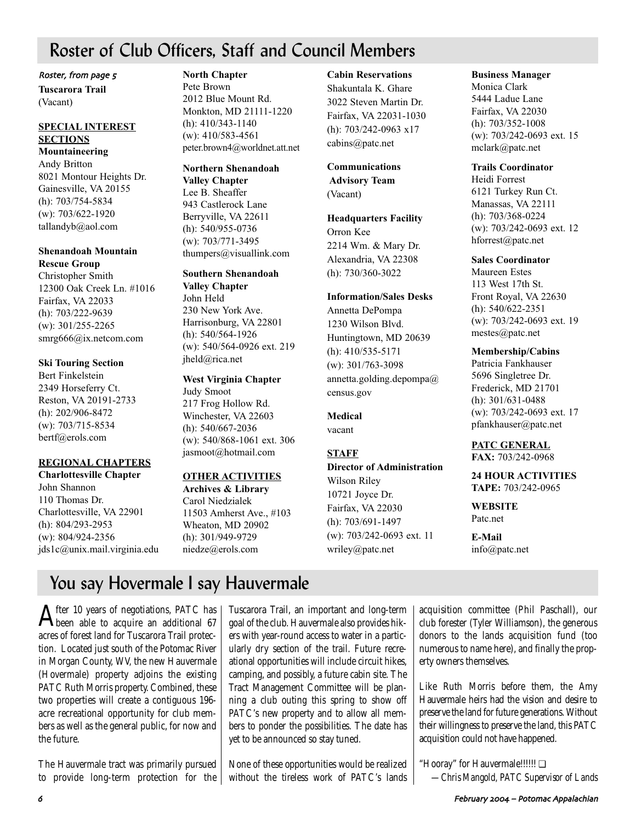## Roster of Club Officers, Staff and Council Members

Roster, from page 5

**Tuscarora Trail** (Vacant)

### **SPECIAL INTEREST SECTIONS**

**Mountaineering**  Andy Britton 8021 Montour Heights Dr. Gainesville, VA 20155 (h): 703/754-5834 (w): 703/622-1920 tallandyb@aol.com

### **Shenandoah Mountain Rescue Group**

Christopher Smith 12300 Oak Creek Ln. #1016 Fairfax, VA 22033 (h): 703/222-9639 (w): 301/255-2265 smrg666@ix.netcom.com

### **Ski Touring Section**

Bert Finkelstein 2349 Horseferry Ct. Reston, VA 20191-2733 (h): 202/906-8472 (w): 703/715-8534 bertf@erols.com

### **REGIONAL CHAPTERS**

**Charlottesville Chapter** John Shannon 110 Thomas Dr. Charlottesville, VA 22901 (h): 804/293-2953 (w): 804/924-2356 jds1c@unix.mail.virginia.edu

### **North Chapter**

Pete Brown 2012 Blue Mount Rd. Monkton, MD 21111-1220 (h): 410/343-1140 (w): 410/583-4561 peter.brown4@worldnet.att.net

### **Northern Shenandoah**

**Valley Chapter** Lee B. Sheaffer 943 Castlerock Lane Berryville, VA 22611 (h): 540/955-0736 (w): 703/771-3495 thumpers@visuallink.com

## **Southern Shenandoah**

**Valley Chapter** John Held 230 New York Ave. Harrisonburg, VA 22801 (h): 540/564-1926 (w): 540/564-0926 ext. 219 jheld@rica.net

### **West Virginia Chapter**

Judy Smoot 217 Frog Hollow Rd. Winchester, VA 22603 (h): 540/667-2036 (w): 540/868-1061 ext. 306 jasmoot@hotmail.com

### **OTHER ACTIVITIES**

**Archives & Library** Carol Niedzialek 11503 Amherst Ave., #103 Wheaton, MD 20902 (h): 301/949-9729 niedze@erols.com

#### **Cabin Reservations**

Shakuntala K. Ghare 3022 Steven Martin Dr. Fairfax, VA 22031-1030 (h): 703/242-0963 x17 cabins@patc.net

### **Communications Advisory Team**

(Vacant)

**Headquarters Facility** Orron Kee 2214 Wm. & Mary Dr. Alexandria, VA 22308 (h): 730/360-3022

### **Information/Sales Desks**

Annetta DePompa 1230 Wilson Blvd. Huntingtown, MD 20639 (h): 410/535-5171 (w): 301/763-3098 annetta.golding.depompa@ census.gov

### **Medical** vacant

### **STAFF**

### **Director of Administration** Wilson Riley 10721 Joyce Dr. Fairfax, VA 22030 (h): 703/691-1497 (w): 703/242-0693 ext. 11

wriley@patc.net

### **Business Manager**

Monica Clark 5444 Ladue Lane Fairfax, VA 22030 (h): 703/352-1008 (w): 703/242-0693 ext. 15 mclark@patc.net

### **Trails Coordinator**

Heidi Forrest 6121 Turkey Run Ct. Manassas, VA 22111 (h): 703/368-0224 (w): 703/242-0693 ext. 12 hforrest@patc.net

### **Sales Coordinator**

Maureen Estes 113 West 17th St. Front Royal, VA 22630 (h): 540/622-2351 (w): 703/242-0693 ext. 19 mestes@patc.net

### **Membership/Cabins**

Patricia Fankhauser 5696 Singletree Dr. Frederick, MD 21701 (h): 301/631-0488 (w): 703/242-0693 ext. 17 pfankhauser@patc.net

**PATC GENERAL FAX:** 703/242-0968

### **24 HOUR ACTIVITIES TAPE:** 703/242-0965

**WEBSITE** Patc.net

**E-Mail** info@patc.net

## You say Hovermale I say Hauvermale

 ${\rm A}$ fter 10 years of negotiations, PATC has<br>been able to acquire an additional 67 acres of forest land for Tuscarora Trail protection. Located just south of the Potomac River in Morgan County, WV, the new Hauvermale (Hovermale) property adjoins the existing PATC Ruth Morris property. Combined, these two properties will create a contiguous 196 acre recreational opportunity for club members as well as the general public, for now and the future.

The Hauvermale tract was primarily pursued to provide long-term protection for the

Tuscarora Trail, an important and long-term goal of the club. Hauvermale also provides hikers with year-round access to water in a particularly dry section of the trail. Future recreational opportunities will include circuit hikes, camping, and possibly, a future cabin site. The Tract Management Committee will be planning a club outing this spring to show off PATC's new property and to allow all members to ponder the possibilities. The date has yet to be announced so stay tuned.

None of these opportunities would be realized without the tireless work of PATC's lands

acquisition committee (Phil Paschall), our club forester (Tyler Williamson), the generous donors to the lands acquisition fund (too numerous to name here), and finally the property owners themselves.

Like Ruth Morris before them, the Amy Hauvermale heirs had the vision and desire to preserve the land for future generations. Without their willingness to preserve the land, this PATC acquisition could not have happened.

"Hooray" for Hauvermale!!!!!! ❏ *—Chris Mangold, PATC Supervisor of Lands*

. February 2004 – Potomac Appalachian Appalachian Appalachian Appalachian Appalachian Appalachian Appalachian Appalachian Appalachian Appalachian Appalachian Appalachian Appalachian Appalachian Appalachian Appalachian Appa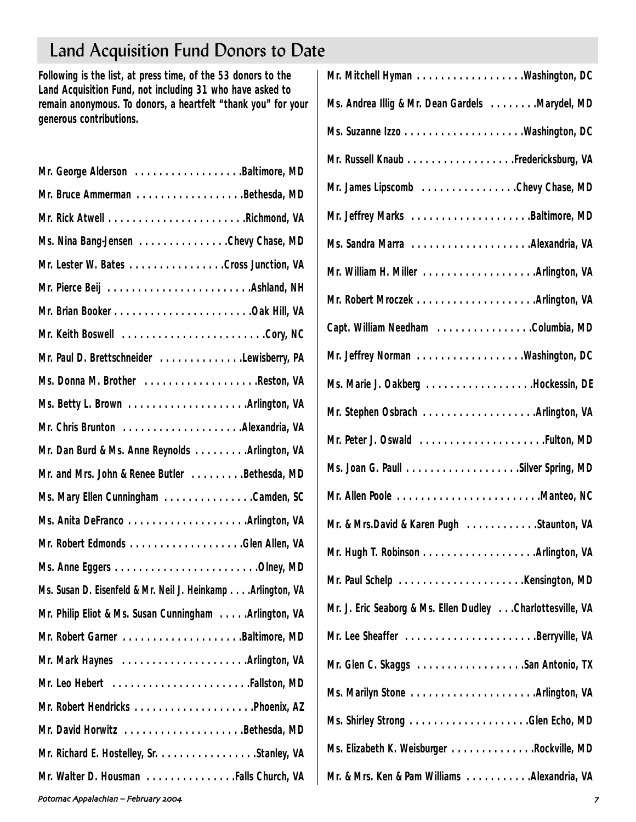# Land Acquisition Fund Donors to Date

**Following is the list, at press time, of the 53 donors to the Land Acquisition Fund, not including 31 who have asked to remain anonymous. To donors, a heartfelt "thank you" for your generous contributions.**

| Mr. George Alderson Baltimore, MD                           |
|-------------------------------------------------------------|
| Mr. Bruce Ammerman Bethesda, MD                             |
|                                                             |
| Ms. Nina Bang-Jensen Chevy Chase, MD                        |
| Mr. Lester W. Bates Cross Junction, VA                      |
| Mr. Pierce Beij Ashland, NH                                 |
|                                                             |
| Mr. Keith Boswell Cory, NC                                  |
| Mr. Paul D. Brettschneider Lewisberry, PA                   |
| Ms. Donna M. Brother Reston, VA                             |
|                                                             |
| Mr. Chris Brunton Alexandria, VA                            |
| Mr. Dan Burd & Ms. Anne Reynolds Arlington, VA              |
| Mr. and Mrs. John & Renee Butler Bethesda, MD               |
| Ms. Mary Ellen Cunningham Camden, SC                        |
| Ms. Anita DeFranco Arlington, VA                            |
| Mr. Robert Edmonds Glen Allen, VA                           |
|                                                             |
| Ms. Susan D. Eisenfeld & Mr. Neil J. Heinkamp Arlington, VA |
| Mr. Philip Eliot & Ms. Susan Cunningham Arlington, VA       |
| Mr. Robert Garner Baltimore, MD                             |
|                                                             |
|                                                             |
|                                                             |
| Mr. David Horwitz Bethesda, MD                              |
| Mr. Richard E. Hostelley, Sr. Stanley, VA                   |
| Mr. Walter D. Housman Falls Church, VA                      |
|                                                             |

| Ms. Andrea Illig & Mr. Dean Gardels Marydel, MD            |
|------------------------------------------------------------|
|                                                            |
| Mr. Russell Knaub Fredericksburg, VA                       |
| Mr. James Lipscomb Chevy Chase, MD                         |
| Mr. Jeffrey Marks Baltimore, MD                            |
| Ms. Sandra Marra Alexandria, VA                            |
|                                                            |
|                                                            |
| Capt. William Needham Columbia, MD                         |
| Mr. Jeffrey Norman Washington, DC                          |
| Ms. Marie J. Oakberg Hockessin, DE                         |
|                                                            |
|                                                            |
|                                                            |
| Mr. Allen Poole Manteo, NC                                 |
| Mr. & Mrs.David & Karen Pugh Staunton, VA                  |
|                                                            |
|                                                            |
| Mr. J. Eric Seaborg & Ms. Ellen Dudley Charlottesville, VA |
| Mr. Lee Sheaffer Berryville, VA                            |
| Mr. Glen C. Skaggs San Antonio, TX                         |
| Ms. Marilyn Stone Arlington, VA                            |
|                                                            |
| Ms. Elizabeth K. Weisburger Rockville, MD                  |
| Mr. & Mrs. Ken & Pam Williams Alexandria, VA               |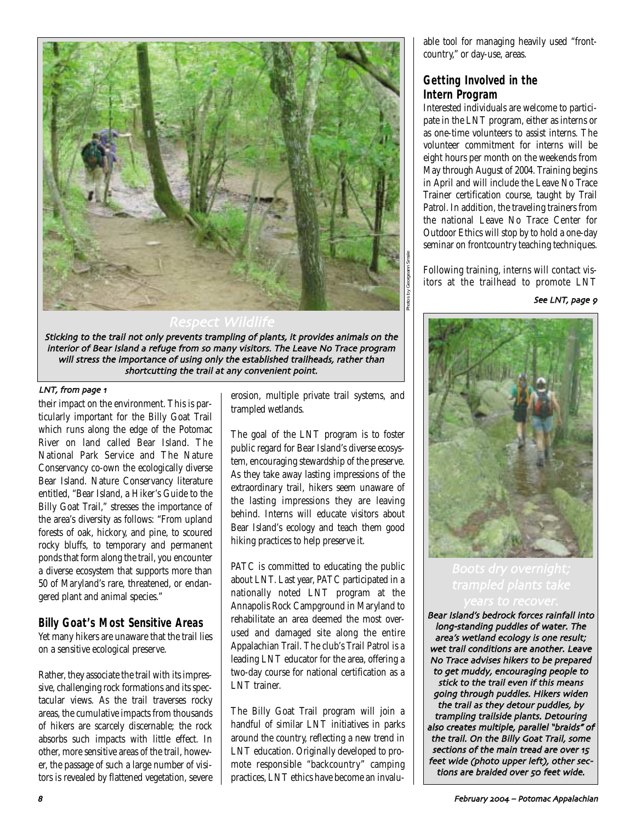

Sticking to the trail not only prevents trampling of plants, it provides animals on the interior of Bear Island a refuge from so many visitors. The Leave No Trace program will stress the importance of using only the established trailheads, rather than shortcutting the trail at any convenient point

### LNT, from page 1

their impact on the environment. This is particularly important for the Billy Goat Trail which runs along the edge of the Potomac River on land called Bear Island. The National Park Service and The Nature Conservancy co-own the ecologically diverse Bear Island. Nature Conservancy literature entitled, "Bear Island, a Hiker's Guide to the Billy Goat Trail," stresses the importance of the area's diversity as follows: "From upland forests of oak, hickory, and pine, to scoured rocky bluffs, to temporary and permanent ponds that form along the trail, you encounter a diverse ecosystem that supports more than 50 of Maryland's rare, threatened, or endangered plant and animal species."

### **Billy Goat's Most Sensitive Areas**

Yet many hikers are unaware that the trail lies on a sensitive ecological preserve.

Rather, they associate the trail with its impressive, challenging rock formations and its spectacular views. As the trail traverses rocky areas, the cumulative impacts from thousands of hikers are scarcely discernable; the rock absorbs such impacts with little effect. In other, more sensitive areas of the trail, however, the passage of such a large number of visitors is revealed by flattened vegetation, severe erosion, multiple private trail systems, and trampled wetlands.

The goal of the LNT program is to foster public regard for Bear Island's diverse ecosystem, encouraging stewardship of the preserve. As they take away lasting impressions of the extraordinary trail, hikers seem unaware of the lasting impressions they are leaving behind. Interns will educate visitors about Bear Island's ecology and teach them good hiking practices to help preserve it.

PATC is committed to educating the public about LNT. Last year, PATC participated in a nationally noted LNT program at the Annapolis Rock Campground in Maryland to rehabilitate an area deemed the most overused and damaged site along the entire Appalachian Trail. The club's Trail Patrol is a leading LNT educator for the area, offering a two-day course for national certification as a LNT trainer.

The Billy Goat Trail program will join a handful of similar LNT initiatives in parks around the country, reflecting a new trend in LNT education. Originally developed to promote responsible "backcountry" camping practices, LNT ethics have become an invaluable tool for managing heavily used "frontcountry," or day-use, areas.

### **Getting Involved in the Intern Program**

Interested individuals are welcome to participate in the LNT program, either as interns or as one-time volunteers to assist interns. The volunteer commitment for interns will be eight hours per month on the weekends from May through August of 2004. Training begins in April and will include the Leave No Trace Trainer certification course, taught by Trail Patrol. In addition, the traveling trainers from the national Leave No Trace Center for Outdoor Ethics will stop by to hold a one-day seminar on frontcountry teaching techniques.

Following training, interns will contact visitors at the trailhead to promote LNT

See LNT, page 9



Bear Island's bedrock forces rainfall into long-standing puddles of water. The area's wetland ecology is one result; wet trail conditions are another. Leave No Trace advises hikers to be prepared to get muddy, encouraging people to stick to the trail even if this means going through puddles. Hikers widen the trail as they detour puddles, by trampling trailside plants. Detouring also creates multiple, parallel "braids" of the trail. On the Billy Goat Trail, some sections of the main tread are over 15 feet wide (photo upper left), other sections are braided over 50 feet wide.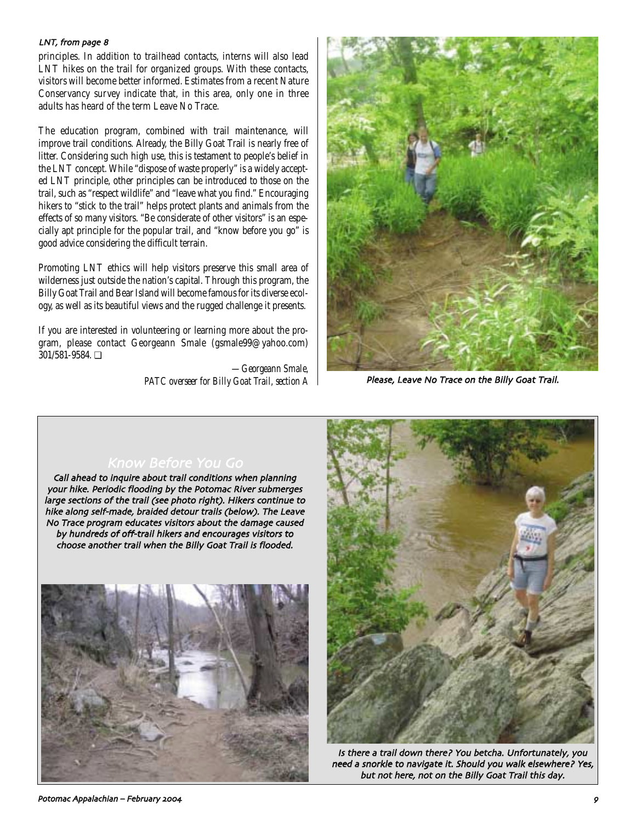#### LNT, from page 8

principles. In addition to trailhead contacts, interns will also lead LNT hikes on the trail for organized groups. With these contacts, visitors will become better informed. Estimates from a recent Nature Conservancy survey indicate that, in this area, only one in three adults has heard of the term Leave No Trace.

The education program, combined with trail maintenance, will improve trail conditions. Already, the Billy Goat Trail is nearly free of litter. Considering such high use, this is testament to people's belief in the LNT concept. While "dispose of waste properly" is a widely accepted LNT principle, other principles can be introduced to those on the trail, such as "respect wildlife" and "leave what you find." Encouraging hikers to "stick to the trail" helps protect plants and animals from the effects of so many visitors. "Be considerate of other visitors" is an especially apt principle for the popular trail, and "know before you go" is good advice considering the difficult terrain.

Promoting LNT ethics will help visitors preserve this small area of wilderness just outside the nation's capital. Through this program, the Billy Goat Trail and Bear Island will become famous for its diverse ecology, as well as its beautiful views and the rugged challenge it presents.

If you are interested in volunteering or learning more about the program, please contact Georgeann Smale (gsmale99@yahoo.com) 301/581-9584. ❏

> *—Georgeann Smale, PATC overseer for Billy Goat Trail, section A*



Please, Leave No Trace on the Billy Goat Trail.

#### Know Before You Go

Call ahead to inquire about trail conditions when planning your hike. Periodic flooding by the Potomac River submerges large sections of the trail (see photo right). Hikers continue to hike along self-made, braided detour trails (below). The Leave No Trace program educates visitors about the damage caused by hundreds of off-trail hikers and encourages visitors to choose another trail when the Billy Goat Trail is flooded





Is there a trail down there? You betcha. Unfortunately, you need a snorkle to navigate it. Should you walk elsewhere? Yes, but not here, not on the Billy Goat Trail this day.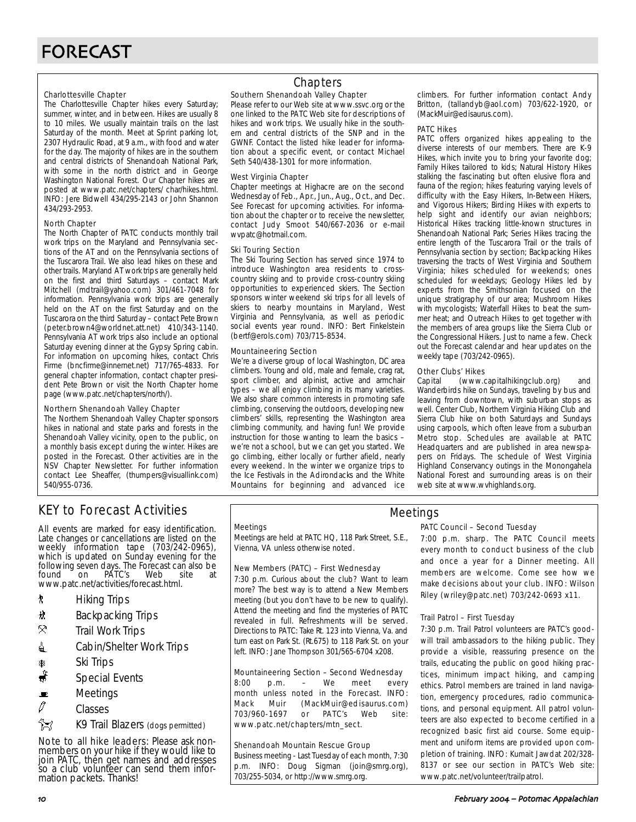#### Charlottesville Chapter

The Charlottesville Chapter hikes every Saturday; summer, winter, and in between. Hikes are usually 8 to 10 miles. We usually maintain trails on the last Saturday of the month. Meet at Sprint parking lot, 2307 Hydraulic Road, at 9 a.m., with food and water for the day. The majority of hikes are in the southern and central districts of Shenandoah National Park, with some in the north district and in George Washington National Forest. Our Chapter hikes are posted at www.patc.net/chapters/ char/hikes.html. INFO: Jere Bidwell 434/295-2143 or John Shannon 434/293-2953.

#### North Chapter

The North Chapter of PATC conducts monthly trail work trips on the Maryland and Pennsylvania sections of the AT and on the Pennsylvania sections of the Tuscarora Trail. We also lead hikes on these and other trails. Maryland AT work trips are generally held on the first and third Saturdays – contact Mark Mitchell (mdtrail@yahoo.com) 301/461-7048 for information. Pennsylvania work trips are generally held on the AT on the first Saturday and on the Tuscarora on the third Saturday – contact Pete Brown (peter.brown4@worldnet.att.net) 410/343-1140. Pennsylvania AT work trips also include an optional Saturday evening dinner at the Gypsy Spring cabin. For information on upcoming hikes, contact Chris Firme (bncfirme@innernet.net) 717/765-4833. For general chapter information, contact chapter president Pete Brown or visit the North Chapter home page (www.patc.net/chapters/north/).

#### Northern Shenandoah Valley Chapter

The Northern Shenandoah Valley Chapter sponsors hikes in national and state parks and forests in the Shenandoah Valley vicinity, open to the public, on a monthly basis except during the winter. Hikes are posted in the Forecast. Other activities are in the NSV Chapter Newsletter. For further information contact Lee Sheaffer, (thumpers@visuallink.com) 540/955-0736.

### Chapters

#### Southern Shenandoah Valley Chapter

Please refer to our Web site at www.ssvc.org or the one linked to the PATC Web site for descriptions of hikes and work trips. We usually hike in the southern and central districts of the SNP and in the GWNF. Contact the listed hike leader for information about a specific event, or contact Michael Seth 540/438-1301 for more information.

#### West Virginia Chapter

Chapter meetings at Highacre are on the second Wednesday of Feb., Apr., Jun., Aug., Oct., and Dec. See Forecast for upcoming activities. For information about the chapter or to receive the newsletter, contact Judy Smoot 540/667-2036 or e-mail wvpatc@hotmail.com.

#### Ski Touring Section

The Ski Touring Section has served since 1974 to introduce Washington area residents to crosscountry skiing and to provide cross-country skiing opportunities to experienced skiers. The Section sponsors winter weekend ski trips for all levels of skiers to nearby mountains in Maryland, West Virginia and Pennsylvania, as well as periodic social events year round. INFO: Bert Finkelstein (bertf@erols.com) 703/715-8534.

#### Mountaineering Section

We're a diverse group of local Washington, DC area climbers. Young and old, male and female, crag rat, sport climber, and alpinist, active and armchair types – we all enjoy climbing in its many varieties. We also share common interests in promoting safe climbing, conserving the outdoors, developing new climbers' skills, representing the Washington area climbing community, and having fun! We provide instruction for those wanting to learn the basics – we're not a school, but we can get you started. We go climbing, either locally or further afield, nearly every weekend. In the winter we organize trips to the Ice Festivals in the Adirondacks and the White Mountains for beginning and advanced ice

climbers. For further information contact Andy Britton, (tallandyb@aol.com) 703/622-1920, or (MackMuir@edisaurus.com).

#### PATC Hikes

PATC offers organized hikes appealing to the diverse interests of our members. There are K-9 Hikes, which invite you to bring your favorite dog; Family Hikes tailored to kids; Natural History Hikes stalking the fascinating but often elusive flora and fauna of the region; hikes featuring varying levels of difficulty with the Easy Hikers, In-Between Hikers, and Vigorous Hikers; Birding Hikes with experts to help sight and identify our avian neighbors; Historical Hikes tracking little-known structures in Shenandoah National Park; Series Hikes tracing the entire length of the Tuscarora Trail or the trails of Pennsylvania section by section; Backpacking Hikes traversing the tracts of West Virginia and Southern Virginia; hikes scheduled for weekends; ones scheduled for weekdays; Geology Hikes led by experts from the Smithsonian focused on the unique stratigraphy of our area; Mushroom Hikes with mycologists; Waterfall Hikes to beat the summer heat; and Outreach Hikes to get together with the members of area groups like the Sierra Club or the Congressional Hikers. Just to name a few. Check out the Forecast calendar and hear updates on the weekly tape (703/242-0965).

## **Other Clubs' Hikes**<br>Capital (www.c

(www.capitalhikingclub.org) and Wanderbirds hike on Sundays, traveling by bus and leaving from downtown, with suburban stops as well. Center Club, Northern Virginia Hiking Club and Sierra Club hike on both Saturdays and Sundays using carpools, which often leave from a suburban Metro stop. Schedules are available at PATC Headquarters and are published in area newspapers on Fridays. The schedule of West Virginia Highland Conservancy outings in the Monongahela National Forest and surrounding areas is on their web site at www.wvhighlands.org.

## KEY to Forecast Activities

All events are marked for easy identification. Late changes or cancellations are listed on the weekly information tape (703/242-0965), which is updated on Sunday evening for the following seven days. The Forecast can also be<br>found on PATC's Web site at PÁTC's www.patc.net/activities/forecast.html.

- **\*** Hiking Trips
- \* Backpacking Trips
- $\mathcal{R}$  Trail Work Trips
- **i** Cabin/Shelter Work Trips
- **A** Ski Trips
- Special Events
- $\blacksquare$  Meetings
- $\varnothing$  Classes
- **Z** K9 Trail Blazers (dogs permitted)

Note to all hike leaders: Please ask nonmembers on your hike if they would like to join PATC, then get names and addresses so a club volunteer can send them information packets. Thanks!

#### **Meetings**

Meetings are held at PATC HQ, 118 Park Street, S.E., Vienna, VA unless otherwise noted.

#### New Members (PATC) – First Wednesday

7:30 p.m. Curious about the club? Want to learn more? The best way is to attend a New Members meeting (but you don't have to be new to qualify). Attend the meeting and find the mysteries of PATC revealed in full. Refreshments will be served. Directions to PATC: Take Rt. 123 into Vienna, Va. and turn east on Park St. (Rt.675) to 118 Park St. on your left. INFO: Jane Thompson 301/565-6704 x208.

#### Mountaineering Section – Second Wednesday

8:00 p.m. – We meet every month unless noted in the Forecast. INFO: Mack Muir (MackMuir@edisaurus.com) 703/960-1697 or PATC's Web site: www.patc.net/chapters/mtn\_sect.

#### Shenandoah Mountain Rescue Group

Business meeting - Last Tuesday of each month, 7:30 p.m. INFO: Doug Sigman (join@smrg.org), 703/255-5034, or http://www.smrg.org.

### PATC Council – Second Tuesday

Meetings

7:00 p.m. sharp. The PATC Council meets every month to conduct business of the club and once a year for a Dinner meeting. All members are welcome. Come see how we make decisions about your club. INFO: Wilson Riley (wriley@patc.net) 703/242-0693 x11.

#### Trail Patrol – First Tuesday

7:30 p.m. Trail Patrol volunteers are PATC's goodwill trail ambassadors to the hiking public. They provide a visible, reassuring presence on the trails, educating the public on good hiking practices, minimum impact hiking, and camping ethics. Patrol members are trained in land navigation, emergency procedures, radio communications, and personal equipment. All patrol volunteers are also expected to become certified in a recognized basic first aid course. Some equipment and uniform items are provided upon completion of training. INFO: Kumait Jawdat 202/328- 8137 or see our section in PATC's Web site: www.patc.net/volunteer/trailpatrol.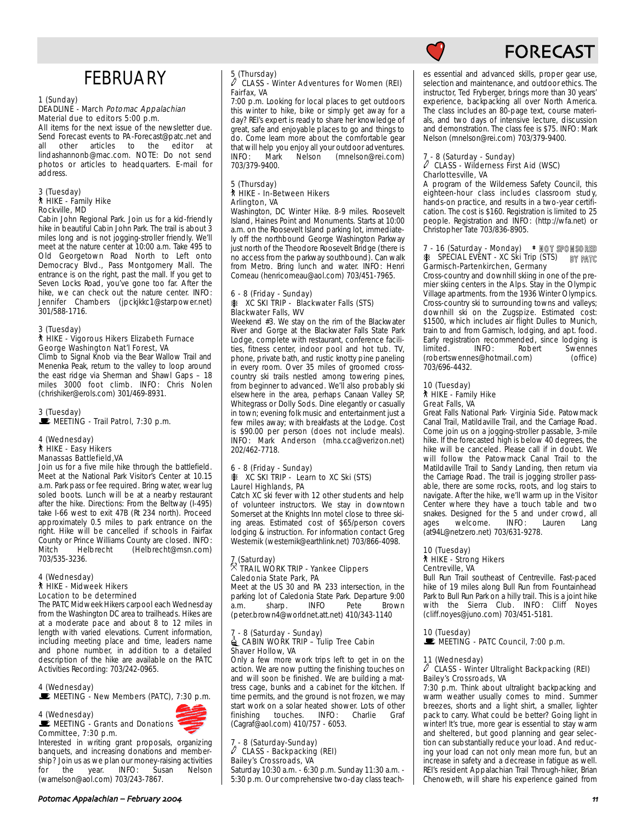

## **FORECAST**

## **FEBRUARY**

#### 1 (Sunday)

#### DEADLINE - March Potomac Appalachian Material due to editors 5:00 p.m.

All items for the next issue of the newsletter due. Send Forecast events to PA-Forecast@patc.net and<br>all other articles to the editor at other articles to the lindashannonb@mac.com. NOTE: Do not send photos or articles to headquarters. E-mail for address.

#### 3 (Tuesday) ` HIKE - Family Hike Rockville, MD

Cabin John Regional Park. Join us for a kid-friendly hike in beautiful Cabin John Park. The trail is about 3 miles long and is not jogging-stroller friendly. We'll meet at the nature center at 10:00 a.m. Take 495 to Old Georgetown Road North to Left onto Democracy Blvd., Pass Montgomery Mall. The entrance is on the right, past the mall. If you get to Seven Locks Road, you've gone too far. After the hike, we can check out the nature center. INFO: Jennifer Chambers (jpckjkkc1@starpower.net) 301/588-1716.

#### 3 (Tuesday) ` HIKE - Vigorous Hikers Elizabeth Furnace George Washington Nat'l Forest, VA

Climb to Signal Knob via the Bear Wallow Trail and Menenka Peak, return to the valley to loop around the east ridge via Sherman and Shawl Gaps – 18 miles 3000 foot climb. INFO: Chris Nolen (chrishiker@erols.com) 301/469-8931.

#### 3 (Tuesday)  $\mathbf{\mathbf{\mathbf{\mathsf{E}}}}$  MEETING - Trail Patrol, 7:30 p.m.

#### 4 (Wednesday) ` HIKE - Easy Hikers Manassas Battlefield,VA

Join us for a five mile hike through the battlefield. Meet at the National Park Visitor's Center at 10.15 a.m. Park pass or fee required. Bring water, wear lug soled boots. Lunch will be at a nearby restaurant after the hike. Directions: From the Beltway (I-495) take I-66 west to exit 47B (Rt 234 north). Proceed approximately 0.5 miles to park entrance on the right. Hike will be cancelled if schools in Fairfax County or Prince Williams County are closed. INFO:<br>Mitch Helbrecht (Helbrecht@msn.com) (Helbrecht@msn.com) 703/535-3236.

#### 4 (Wednesday) ` HIKE - Midweek Hikers Location to be determined

The PATC Midweek Hikers carpool each Wednesday from the Washington DC area to trailheads. Hikes are at a moderate pace and about 8 to 12 miles in length with varied elevations. Current information, including meeting place and time, leaders name and phone number, in addition to a detailed description of the hike are available on the PATC Activities Recording: 703/242-0965.

#### 4 (Wednesday)

 $\mathbf{\mathbf{\mathbb{E}}}$  MEETING - New Members (PATC), 7:30 p.m.

### 4 (Wednesday)



Interested in writing grant proposals, organizing banquets, and increasing donations and membership? Join us as we plan our money-raising activities<br>for the year. INFO: Susan Nelson the year. (warnelson@aol.com) 703/243-7867.

#### 5 (Thursday) CLASS - Winter Adventures for Women (REI) Fairfax, VA

7:00 p.m. Looking for local places to get outdoors this winter to hike, bike or simply get away for a day? REI's expert is ready to share her knowledge of great, safe and enjoyable places to go and things to do. Come learn more about the comfortable gear that will help you enjoy all your outdoor adventures.<br>INFO: Mark Nelson (mnelson@rei.com) Impleson@rei.com) 703/379-9400.

#### 5 (Thursday) ` HIKE - In-Between Hikers Arlington, VA

Washington, DC Winter Hike. 8-9 miles. Roosevelt Island, Haines Point and Monuments. Starts at 10:00 a.m. on the Roosevelt Island parking lot, immediately off the northbound George Washington Parkway just north of the Theodore Roosevelt Bridge (there is no access from the parkway southbound). Can walk from Metro. Bring lunch and water. INFO: Henri Comeau (henricomeau@aol.com) 703/451-7965.

### 6 - 8 (Friday - Sunday) A XC SKI TRIP - Blackwater Falls (STS) Blackwater Falls, WV

Weekend #3. We stay on the rim of the Blackwater River and Gorge at the Blackwater Falls State Park Lodge, complete with restaurant, conference facilities, fitness center, indoor pool and hot tub. TV, phone, private bath, and rustic knotty pine paneling in every room. Over 35 miles of groomed crosscountry ski trails nestled among towering pines, from beginner to advanced. We'll also probably ski elsewhere in the area, perhaps Canaan Valley SP, Whitegrass or Dolly Sods. Dine elegantly or casually in town; evening folk music and entertainment just a few miles away; with breakfasts at the Lodge. Cost is \$90.00 per person (does not include meals). INFO: Mark Anderson (mha.cca@verizon.net) 202/462-7718.

#### 6 - 8 (Friday - Sunday) **A XC SKI TRIP - Learn to XC Ski (STS)** Laurel Highlands, PA

Catch XC ski fever with 12 other students and help of volunteer instructors. We stay in downtown Somerset at the Knights Inn motel close to three skiing areas. Estimated cost of \$65/person covers lodging & instruction. For information contact Greg Westernik (westernik@earthlink.net) 703/866-4098.

### 7 (Saturday) . TRAIL WORK TRIP - Yankee Clippers Caledonia State Park, PA

Meet at the US 30 and PA 233 intersection, in the parking lot of Caledonia State Park. Departure 9:00<br>a.m. sharp. INFO Pete Brown a.m. sharp. (peter.brown4@worldnet.att.net) 410/343-1140

#### 7 - 8 (Saturday - Sunday)  $\triangleq$  CABIN WORK TRIP – Tulip Tree Cabin Shaver Hollow, VA

Only a few more work trips left to get in on the action. We are now putting the finishing touches on and will soon be finished. We are building a mattress cage, bunks and a cabinet for the kitchen. If time permits, and the ground is not frozen, we may start work on a solar heated shower. Lots of other<br>finishing touches. INFO: Charlie Graf finishing touches. INFO: Charlie Graf (Cagraf@aol.com) 410/757 - 6053.

## 7 - 8 (Saturday-Sunday) a CLASS - Backpacking (REI) Bailey's Crossroads, VA

Saturday 10:30 a.m. - 6:30 p.m. Sunday 11:30 a.m. - 5:30 p.m. Our comprehensive two-day class teaches essential and advanced skills, proper gear use, selection and maintenance, and outdoor ethics. The instructor, Ted Fryberger, brings more than 30 years' experience, backpacking all over North America. The class includes an 80-page text, course materials, and two days of intensive lecture, discussion and demonstration. The class fee is \$75. INFO: Mark Nelson (mnelson@rei.com) 703/379-9400.

#### 7 - 8 (Saturday - Sunday)  $\hat{\mathscr{O}}$  CLASS - Wilderness First Aid (WSC) Charlottesville, VA

A program of the Wilderness Safety Council, this eighteen-hour class includes classroom study, hands-on practice, and results in a two-year certification. The cost is \$160. Registration is limited to 25 people. Registration and INFO: (http://wfa.net) or Christopher Tate 703/836-8905.

#### 7 - 16 (Saturday - Monday) A SPECIAL EVENT - XC Ski Trip (STS) **\* NOT SPONSORED** Garmisch-Partenkirchen, Germany **BY PATC**

Cross-country and downhill skiing in one of the premier skiing centers in the Alps. Stay in the Olympic Village apartments. from the 1936 Winter Olympics. Cross-country ski to surrounding towns and valleys; downhill ski on the Zugspize. Estimated cost: \$1500, which includes air flight Dulles to Munich, train to and from Garmisch, lodging, and apt. food. Early registration recommended, since lodging is<br>
limited. INFO: Robert Swennes Swennes<br>(office) (robertswennes@hotmail.com) 703/696-4432.

#### 10 (Tuesday) ` HIKE - Family Hike Great Falls, VA

Great Falls National Park- Virginia Side. Patowmack Canal Trail, Matildaville Trail, and the Carriage Road. Come join us on a jogging-stroller passable, 3-mile hike. If the forecasted high is below 40 degrees, the hike will be canceled. Please call if in doubt. We will follow the Patowmack Canal Trail to the Matildaville Trail to Sandy Landing, then return via the Carriage Road. The trail is jogging stroller passable, there are some rocks, roots, and log stairs to navigate. After the hike, we'll warm up in the Visitor Center where they have a touch table and two snakes. Designed for the 5 and under crowd, all ages welcome. INFO: Lauren Lang (at94L@netzero.net) 703/631-9278.

#### 10 (Tuesday) ` HIKE - Strong Hikers Centreville, VA

Bull Run Trail southeast of Centreville. Fast-paced hike of 19 miles along Bull Run from Fountainhead Park to Bull Run Park on a hilly trail. This is a joint hike with the Sierra Club. INFO: Cliff Noyes (cliff.noyes@juno.com) 703/451-5181.

10 (Tuesday)<br>■ MEETING - PATC Council, 7:00 p.m.

#### 11 (Wednesday)

#### $\ell$  CLASS - Winter Ultralight Backpacking (REI) Bailey's Crossroads, VA

7:30 p.m. Think about ultralight backpacking and warm weather usually comes to mind. Summer breezes, shorts and a light shirt, a smaller, lighter pack to carry. What could be better? Going light in winter! It's true, more gear is essential to stay warm and sheltered, but good planning and gear selection can substantially reduce your load. And reducing your load can not only mean more fun, but an increase in safety and a decrease in fatigue as well. REI's resident Appalachian Trail Through-hiker, Brian Chenoweth, will share his experience gained from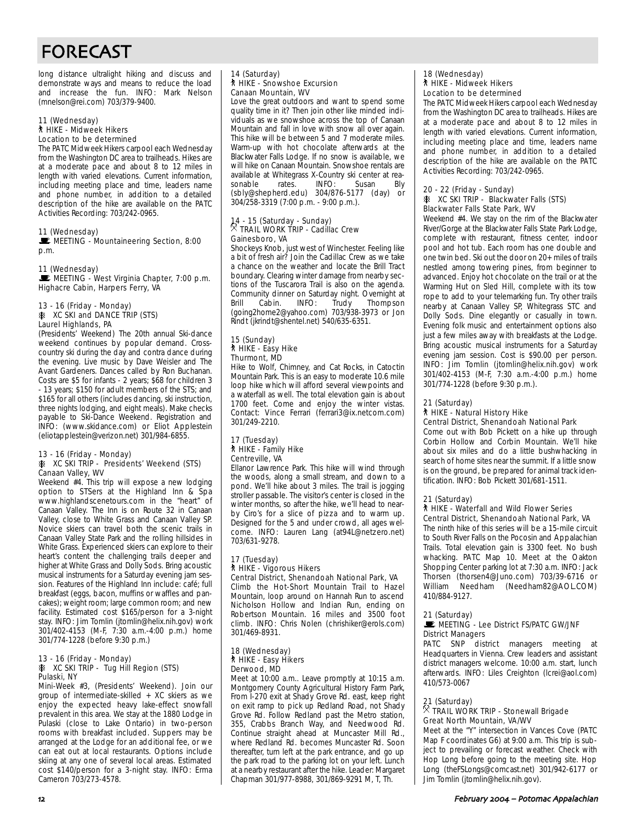## FORECAST

long distance ultralight hiking and discuss and demonstrate ways and means to reduce the load and increase the fun. INFO: Mark Nelson (mnelson@rei.com) 703/379-9400.

#### 11 (Wednesday) ` HIKE - Midweek Hikers Location to be determined

The PATC Midweek Hikers carpool each Wednesday from the Washington DC area to trailheads. Hikes are at a moderate pace and about 8 to 12 miles in length with varied elevations. Current information, including meeting place and time, leaders name and phone number, in addition to a detailed description of the hike are available on the PATC Activities Recording: 703/242-0965.

#### 11 (Wednesday)

MEETING - Mountaineering Section, 8:00 p.m.

#### 11 (Wednesday) MEETING - West Virginia Chapter, 7:00 p.m.

Highacre Cabin, Harpers Ferry, VA

#### 13 - 16 (Friday - Monday) *A* XC SKI and DANCE TRIP (STS) Laurel Highlands, PA

(Presidents' Weekend) The 20th annual Ski-dance weekend continues by popular demand. Crosscountry ski during the day and contra dance during the evening. Live music by Dave Weisler and The Avant Gardeners. Dances called by Ron Buchanan. Costs are \$5 for infants - 2 years; \$68 for children 3 - 13 years; \$150 for adult members of the STS; and \$165 for all others (includes dancing, ski instruction, three nights lodging, and eight meals). Make checks payable to Ski-Dance Weekend. Registration and INFO: (www.skidance.com) or Eliot Applestein (eliotapplestein@verizon.net) 301/984-6855.

### 13 - 16 (Friday - Monday)

#### **K XC SKI TRIP - Presidents' Weekend (STS)** Canaan Valley, WV

Weekend #4. This trip will expose a new lodging option to STSers at the Highland Inn & Spa www.highlandscenetours.com in the "heart" of Canaan Valley. The Inn is on Route 32 in Canaan Valley, close to White Grass and Canaan Valley SP. Novice skiers can travel both the scenic trails in Canaan Valley State Park and the rolling hillsides in White Grass. Experienced skiers can explore to their heart's content the challenging trails deeper and higher at White Grass and Dolly Sods. Bring acoustic musical instruments for a Saturday evening jam session. Features of the Highland Inn include: café; full breakfast (eggs, bacon, muffins or waffles and pancakes); weight room; large common room; and new facility. Estimated cost \$165/person for a 3-night stay. INFO: Jim Tomlin (jtomlin@helix.nih.gov) work 301/402-4153 (M-F, 7:30 a.m.-4:00 p.m.) home 301/774-1228 (before 9:30 p.m.)

#### 13 - 16 (Friday - Monday) **A XC SKI TRIP - Tug Hill Region (STS)** Pulaski, NY

Mini-Week #3, (Presidents' Weekend). Join our group of intermediate-skilled + XC skiers as we enjoy the expected heavy lake-effect snowfall prevalent in this area. We stay at the 1880 Lodge in Pulaski (close to Lake Ontario) in two-person rooms with breakfast included. Suppers may be arranged at the Lodge for an additional fee, or we can eat out at local restaurants. Options include skiing at any one of several local areas. Estimated cost \$140/person for a 3-night stay. INFO: Erma Cameron 703/273-4578.

#### 14 (Saturday) ` HIKE - Snowshoe Excursion Canaan Mountain, WV

Love the great outdoors and want to spend some quality time in it? Then join other like minded individuals as we snowshoe across the top of Canaan Mountain and fall in love with snow all over again. This hike will be between 5 and 7 moderate miles. Warm-up with hot chocolate afterwards at the Blackwater Falls Lodge. If no snow is available, we will hike on Canaan Mountain. Snowshoe rentals are available at Whitegrass X-Country ski center at reasonable rates. INFO: Susan Bly (sbly@shepherd.edu) 304/876-5177 (day) or 304/258-3319 (7:00 p.m. - 9:00 p.m.).

### 14 - 15 (Saturday - Sunday) . TRAIL WORK TRIP - Cadillac Crew Gainesboro, VA

Shockeys Knob, just west of Winchester. Feeling like a bit of fresh air? Join the Cadillac Crew as we take a chance on the weather and locate the Brill Tract boundary. Clearing winter damage from nearby sections of the Tuscarora Trail is also on the agenda. Community dinner on Saturday night. Overnight at<br>Brill Cabin. INFO: Trudy Thompson Brill Cabin. INFO: Trudy Thompson (going2home2@yahoo.com) 703/938-3973 or Jon Rindt (jkrindt@shentel.net) 540/635-6351.

#### 15 (Sunday) ` HIKE - Easy Hike Thurmont, MD

Hike to Wolf, Chimney, and Cat Rocks, in Catoctin Mountain Park. This is an easy to moderate 10.6 mile loop hike which will afford several viewpoints and a waterfall as well. The total elevation gain is about 1700 feet. Come and enjoy the winter vistas. Contact: Vince Ferrari (ferrari3@ix.netcom.com) 301/249-2210.

#### 17 (Tuesday) ` HIKE - Family Hike Centreville, VA

Ellanor Lawrence Park. This hike will wind through the woods, along a small stream, and down to a pond. We'll hike about 3 miles. The trail is jogging stroller passable. The visitor's center is closed in the winter months, so after the hike, we'll head to nearby Ciro's for a slice of pizza and to warm up. Designed for the 5 and under crowd, all ages welcome. INFO: Lauren Lang (at94L@netzero.net) 703/631-9278.

#### 17 (Tuesday) ` HIKE - Vigorous Hikers Central District, Shenandoah National Park, VA

Climb the Hot-Short Mountain Trail to Hazel Mountain, loop around on Hannah Run to ascend Nicholson Hollow and Indian Run, ending on Robertson Mountain. 16 miles and 3500 foot climb. INFO: Chris Nolen (chrishiker@erols.com) 301/469-8931.

#### 18 (Wednesday) ` HIKE - Easy Hikers Derwood, MD

Meet at 10:00 a.m.. Leave promptly at 10:15 a.m. Montgomery County Agricultural History Farm Park, From I-270 exit at Shady Grove Rd. east, keep right on exit ramp to pick up Redland Road, not Shady Grove Rd. Follow Redland past the Metro station, 355, Crabbs Branch Way, and Needwood Rd. Continue straight ahead at Muncaster Mill Rd., where Redland Rd. becomes Muncaster Rd. Soon thereafter, turn left at the park entrance, and go up the park road to the parking lot on your left. Lunch at a nearby restaurant after the hike. Leader: Margaret Chapman 301/977-8988, 301/869-9291 M, T, Th.

#### 18 (Wednesday) **A** HIKE - Midweek Hikers Location to be determined

The PATC Midweek Hikers carpool each Wednesday from the Washington DC area to trailheads. Hikes are at a moderate pace and about 8 to 12 miles in length with varied elevations. Current information, including meeting place and time, leaders name and phone number, in addition to a detailed description of the hike are available on the PATC Activities Recording: 703/242-0965.

#### 20 - 22 (Friday - Sunday) A XC SKI TRIP - Blackwater Falls (STS) Blackwater Falls State Park, WV

Weekend #4. We stay on the rim of the Blackwater River/Gorge at the Blackwater Falls State Park Lodge, complete with restaurant, fitness center, indoor pool and hot tub. Each room has one double and one twin bed. Ski out the door on 20+ miles of trails nestled among towering pines, from beginner to advanced. Enjoy hot chocolate on the trail or at the Warming Hut on Sled Hill, complete with its tow rope to add to your telemarking fun. Try other trails nearby at Canaan Valley SP, Whitegrass STC and Dolly Sods. Dine elegantly or casually in town. Evening folk music and entertainment options also just a few miles away with breakfasts at the Lodge. Bring acoustic musical instruments for a Saturday evening jam session. Cost is \$90.00 per person. INFO: Jim Tomlin (jtomlin@helix.nih.gov) work 301/402-4153 (M-F, 7:30 a.m.-4:00 p.m.) home 301/774-1228 (before 9:30 p.m.).

#### 21 (Saturday)

#### ` HIKE - Natural History Hike Central District, Shenandoah National Park

Come out with Bob Pickett on a hike up through Corbin Hollow and Corbin Mountain. We'll hike about six miles and do a little bushwhacking in search of home sites near the summit. If a little snow is on the ground, be prepared for animal track identification. INFO: Bob Pickett 301/681-1511.

#### 21 (Saturday)

#### ` HIKE - Waterfall and Wild Flower Series Central District, Shenandoah National Park, VA

The ninth hike of this series will be a 15-mile circuit to South River Falls on the Pocosin and Appalachian Trails. Total elevation gain is 3300 feet. No bush whacking. PATC Map 10. Meet at the Oakton Shopping Center parking lot at 7:30 a.m. INFO: Jack Thorsen (thorsen4@Juno.com) 703/39-6716 or William Needham (Needham82@AOL.COM) 410/884-9127.

#### 21 (Saturday)

#### MEETING - Lee District FS/PATC GW/JNF District Managers

PATC SNP district managers meeting at Headquarters in Vienna. Crew leaders and assistant district managers welcome. 10:00 a.m. start, lunch afterwards. INFO: Liles Creighton (lcrei@aol.com) 410/573-0067

### 21 (Saturday)<br><sup>X</sup> TRAIL WORK TRIP - Stonewall Brigade Great North Mountain, VA/WV

Meet at the "Y" intersection in Vances Cove (PATC Map F coordinates G6) at 9:00 a.m. This trip is subject to prevailing or forecast weather. Check with Hop Long before going to the meeting site. Hop Long (theFSLongs@comcast.net) 301/942-6177 or Jim Tomlin (jtomlin@helix.nih.gov).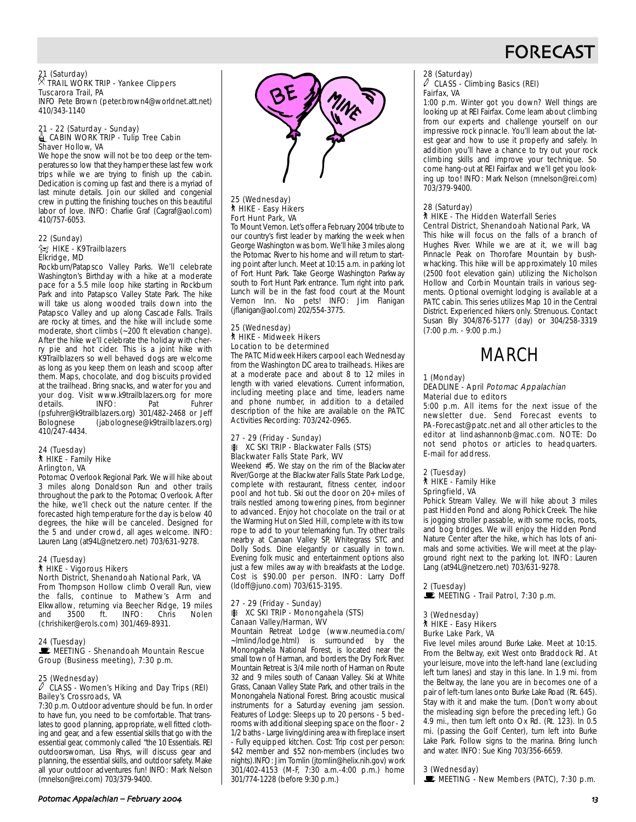

21 (Saturday) . TRAIL WORK TRIP - Yankee Clippers Tuscarora Trail, PA

INFO Pete Brown (peter.brown4@worldnet.att.net) 410/343-1140

#### 21 - 22 (Saturday - Sunday) **△ CABIN WORK TRIP - Tulip Tree Cabin** Shaver Hollow, VA

We hope the snow will not be too deep or the temperatures so low that they hamper these last few work trips while we are trying to finish up the cabin. Dedication is coming up fast and there is a myriad of last minute details. Join our skilled and congenial crew in putting the finishing touches on this beautiful labor of love. INFO: Charlie Graf (Cagraf@aol.com) 410/757-6053.

#### 22 (Sunday) **Z HIKE - K9Trailblazers** Elkridge, MD

Rockburn/Patapsco Valley Parks. We'll celebrate Washington's Birthday with a hike at a moderate pace for a 5.5 mile loop hike starting in Rockburn Park and into Patapsco Valley State Park. The hike will take us along wooded trails down into the Patapsco Valley and up along Cascade Falls. Trails are rocky at times, and the hike will include some moderate, short climbs (~200 ft elevation change). After the hike we'll celebrate the holiday with cherry pie and hot cider. This is a joint hike with K9Trailblazers so well behaved dogs are welcome as long as you keep them on leash and scoop after them. Maps, chocolate, and dog biscuits provided at the trailhead. Bring snacks, and water for you and your dog. Visit www.k9trailblazers.org for more<br>details **INFO** Pat Fuhrer details. INFO: Pat Fuhrer (psfuhrer@k9trailblazers.org) 301/482-2468 or Jeff Bolognese (jabolognese@k9trailblazers.org) 410/247-4434.

### 24 (Tuesday) ` HIKE - Family Hike Arlington, VA

Potomac Overlook Regional Park. We will hike about 3 miles along Donaldson Run and other trails throughout the park to the Potomac Overlook. After the hike, we'll check out the nature center. If the forecasted high temperature for the day is below 40 degrees, the hike will be canceled. Designed for the 5 and under crowd, all ages welcome. INFO: Lauren Lang (at94L@netzero.net) 703/631-9278.

#### 24 (Tuesday) ` HIKE - Vigorous Hikers North District, Shenandoah National Park, VA

From Thompson Hollow climb Overall Run, view the falls, continue to Mathew's Arm and Elkwallow, returning via Beecher Ridge, 19 miles 3500 (chrishiker@erols.com) 301/469-8931.

#### 24 (Tuesday)

**WEETING - Shenandoah Mountain Rescue** Group (Business meeting), 7:30 p.m.

### 25 (Wednesday) a CLASS - Women's Hiking and Day Trips (REI) Bailey's Crossroads, VA

7:30 p.m. Outdoor adventure should be fun. In order to have fun, you need to be comfortable. That translates to good planning, appropriate, well fitted clothing and gear, and a few essential skills that go with the essential gear, commonly called "the 10 Essentials. REI outdoorswoman, Lisa Rhys, will discuss gear and planning, the essential skills, and outdoor safety. Make all your outdoor adventures fun! INFO: Mark Nelson (mnelson@rei.com) 703/379-9400.



#### 25 (Wednesday) ` HIKE - Easy Hikers Fort Hunt Park, VA

To Mount Vernon. Let's offer a February 2004 tribute to our country's first leader by marking the week when George Washington was born. We'll hike 3 miles along the Potomac River to his home and will return to starting point after lunch. Meet at 10:15 a.m. in parking lot of Fort Hunt Park. Take George Washington Parkway south to Fort Hunt Park entrance. Turn right into park. Lunch will be in the fast food court at the Mount Vernon Inn. No pets! INFO: Jim Flanigan (jflanigan@aol.com) 202/554-3775.

#### 25 (Wednesday) ` HIKE - Midweek Hikers Location to be determined

The PATC Midweek Hikers carpool each Wednesday from the Washington DC area to trailheads. Hikes are at a moderate pace and about 8 to 12 miles in length with varied elevations. Current information, including meeting place and time, leaders name and phone number, in addition to a detailed description of the hike are available on the PATC Activities Recording: 703/242-0965.

## 27 - 29 (Friday - Sunday) A XC SKI TRIP - Blackwater Falls (STS) Blackwater Falls State Park, WV

Weekend #5. We stay on the rim of the Blackwater River/Gorge at the Blackwater Falls State Park Lodge, complete with restaurant, fitness center, indoor pool and hot tub. Ski out the door on 20+ miles of trails nestled among towering pines, from beginner to advanced. Enjoy hot chocolate on the trail or at the Warming Hut on Sled Hill, complete with its tow rope to add to your telemarking fun. Try other trails nearby at Canaan Valley SP, Whitegrass STC and Dolly Sods. Dine elegantly or casually in town. Evening folk music and entertainment options also just a few miles away with breakfasts at the Lodge. Cost is \$90.00 per person. INFO: Larry Doff (ldoff@juno.com) 703/615-3195.

### 27 - 29 (Friday - Sunday) A XC SKI TRIP - Monongahela (STS) Canaan Valley/Harman, WV

Mountain Retreat Lodge (www.neumedia.com/ ~lmlind/lodge.html) is surrounded by the Monongahela National Forest, is located near the small town of Harman, and borders the Dry Fork River. Mountain Retreat is 3/4 mile north of Harman on Route 32 and 9 miles south of Canaan Valley. Ski at White Grass, Canaan Valley State Park, and other trails in the Monongahela National Forest. Bring acoustic musical instruments for a Saturday evening jam session. Features of Lodge: Sleeps up to 20 persons - 5 bedrooms with additional sleeping space on the floor - 2 1/2 baths - Large living/dining area with fireplace insert - Fully equipped kitchen. Cost: Trip cost per person: \$42 member and \$52 non-members (includes two nights).INFO: Jim Tomlin (jtomlin@helix.nih.gov) work 301/402-4153 (M-F, 7:30 a.m.-4:00 p.m.) home 301/774-1228 (before 9:30 p.m.)

#### 28 (Saturday)  $\ell$  CLASS - Climbing Basics (REI) Fairfax, VA

1:00 p.m. Winter got you down? Well things are looking up at REI Fairfax. Come learn about climbing from our experts and challenge yourself on our impressive rock pinnacle. You'll learn about the latest gear and how to use it properly and safely. In addition you'll have a chance to try out your rock climbing skills and improve your technique. So come hang-out at REI Fairfax and we'll get you looking up too! INFO: Mark Nelson (mnelson@rei.com) 703/379-9400.

#### 28 (Saturday) ` HIKE - The Hidden Waterfall Series

Central District, Shenandoah National Park, VA

This hike will focus on the falls of a branch of Hughes River. While we are at it, we will bag Pinnacle Peak on Thorofare Mountain by bushwhacking. This hike will be approximately 10 miles (2500 foot elevation gain) utilizing the Nicholson Hollow and Corbin Mountain trails in various segments. Optional overnight lodging is available at a PATC cabin. This series utilizes Map 10 in the Central District. Experienced hikers only. Strenuous. Contact Susan Bly 304/876-5177 (day) or 304/258-3319 (7:00 p.m. - 9:00 p.m.)



#### 1 (Monday)

#### DEADLINE - April Potomac Appalachian Material due to editors

5:00 p.m. All items for the next issue of the newsletter due. Send Forecast events to PA-Forecast@patc.net and all other articles to the editor at lindashannonb@mac.com. NOTE: Do not send photos or articles to headquarters. E-mail for address.

#### 2 (Tuesday) ` HIKE - Family Hike Springfield, VA

Pohick Stream Valley. We will hike about 3 miles past Hidden Pond and along Pohick Creek. The hike is jogging stroller passable, with some rocks, roots, and bog bridges. We will enjoy the Hidden Pond Nature Center after the hike, which has lots of animals and some activities. We will meet at the playground right next to the parking lot. INFO: Lauren Lang (at94L@netzero.net) 703/631-9278.

2 (Tuesday)  $\mathbf{\mathbb{E}}$  MEETING - Trail Patrol, 7:30 p.m.

#### 3 (Wednesday) ` HIKE - Easy Hikers

Burke Lake Park, VA

Five level miles around Burke Lake. Meet at 10:15. From the Beltway, exit West onto Braddock Rd. At your leisure, move into the left-hand lane (excluding left turn lanes) and stay in this lane. In 1.9 mi. from the Beltway, the lane you are in becomes one of a pair of left-turn lanes onto Burke Lake Road (Rt. 645). Stay with it and make the turn. (Don't worry about the misleading sign before the preceding left.) Go 4.9 mi., then turn left onto Ox Rd. (Rt. 123). In 0.5 mi. (passing the Golf Center), turn left into Burke Lake Park. Follow signs to the marina. Bring lunch and water. INFO: Sue King 703/356-6659.

3 (Wednesday)

 $\mathbb E$  MEETING - New Members (PATC), 7:30 p.m.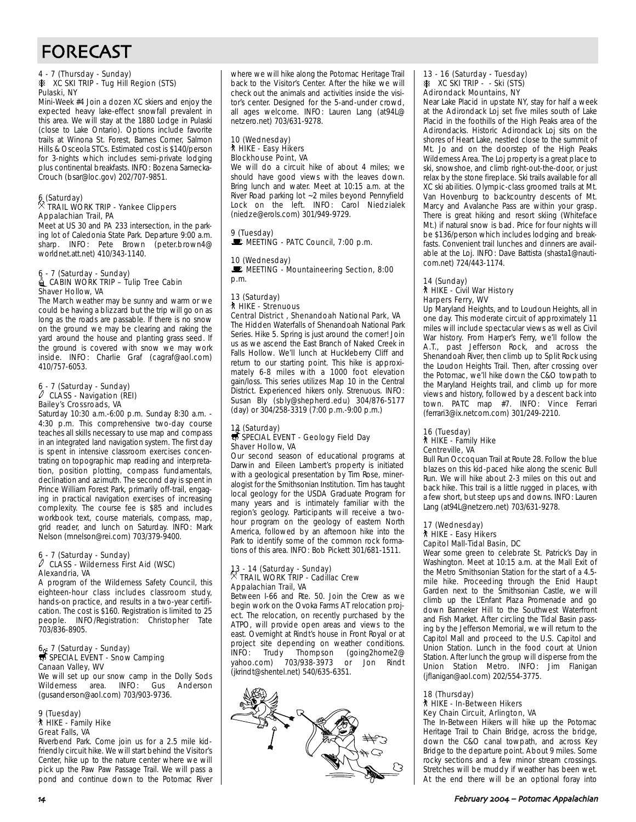## FORECAST

#### 4 - 7 (Thursday - Sunday) **A XC SKI TRIP - Tug Hill Region (STS)** Pulaski, NY

Mini-Week #4 Join a dozen XC skiers and enjoy the expected heavy lake-effect snowfall prevalent in this area. We will stay at the 1880 Lodge in Pulaski (close to Lake Ontario). Options include favorite trails at Winona St. Forest, Barnes Corner, Salmon Hills & Osceola STCs. Estimated cost is \$140/person for 3-nights which includes semi-private lodging plus continental breakfasts. INFO: Bozena Sarnecka-Crouch (bsar@loc.gov) 202/707-9851.

### 6 (Saturday) . TRAIL WORK TRIP - Yankee Clippers Appalachian Trail, PA

Meet at US 30 and PA 233 intersection, in the parking lot of Caledonia State Park. Departure 9:00 a.m. sharp. INFO: Pete Brown (peter.brown4@ worldnet.att.net) 410/343-1140.

#### 6 - 7 (Saturday - Sunday) **△ CABIN WORK TRIP – Tulip Tree Cabin** Shaver Hollow, VA

The March weather may be sunny and warm or we could be having a blizzard but the trip will go on as long as the roads are passable. If there is no snow on the ground we may be clearing and raking the yard around the house and planting grass seed. If the ground is covered with snow we may work inside. INFO: Charlie Graf (cagraf@aol.com) 410/757-6053.

## 6 - 7 (Saturday - Sunday) a CLASS - Navigation (REI) Bailey's Crossroads, VA

Saturday 10:30 a.m.-6:00 p.m. Sunday 8:30 a.m. - 4:30 p.m. This comprehensive two-day course teaches all skills necessary to use map and compass in an integrated land navigation system. The first day is spent in intensive classroom exercises concentrating on topographic map reading and interpretation, position plotting, compass fundamentals, declination and azimuth. The second day is spent in Prince William Forest Park, primarily off-trail, engaging in practical navigation exercises of increasing complexity. The course fee is \$85 and includes workbook text, course materials, compass, map, grid reader, and lunch on Saturday. INFO: Mark Nelson (mnelson@rei.com) 703/379-9400.

### 6 - 7 (Saturday - Sunday) a CLASS - Wilderness First Aid (WSC) Alexandria, VA

A program of the Wilderness Safety Council, this eighteen-hour class includes classroom study, hands-on practice, and results in a two-year certification. The cost is \$160. Registration is limited to 25 people. INFO/Registration: Christopher Tate 703/836-8905.

### 6 7 (Saturday - Sunday)<br>
SPECIAL EVENT - Snow Camping Canaan Valley, WV

We will set up our snow camp in the Dolly Sods Wilderness area. INFO: Gus Anderson (gusanderson@aol.com) 703/903-9736.

### 9 (Tuesday) ` HIKE - Family Hike Great Falls, VA

Riverbend Park. Come join us for a 2.5 mile kidfriendly circuit hike. We will start behind the Visitor's Center, hike up to the nature center where we will pick up the Paw Paw Passage Trail. We will pass a pond and continue down to the Potomac River

where we will hike along the Potomac Heritage Trail back to the Visitor's Center. After the hike we will check out the animals and activities inside the visitor's center. Designed for the 5-and-under crowd, all ages welcome. INFO: Lauren Lang (at94L@ netzero.net) 703/631-9278.

#### 10 (Wednesday) ` HIKE - Easy Hikers Blockhouse Point, VA

We will do a circuit hike of about 4 miles; we should have good views with the leaves down. Bring lunch and water. Meet at 10:15 a.m. at the River Road parking lot ~2 miles beyond Pennyfield Lock on the left. INFO: Carol Niedzialek (niedze@erols.com) 301/949-9729.

9 (Tuesday)  $\mathbf{\mathbf{\mathbf{\mathbb{E}}}}$  MEETING - PATC Council, 7:00 p.m.

#### 10 (Wednesday)  $\blacksquare$  MEETING - Mountaineering Section, 8:00 p.m.

### 13 (Saturday) ` HIKE - Strenuous

Central District , Shenandoah National Park, VA The Hidden Waterfalls of Shenandoah National Park Series. Hike 5. Spring is just around the corner! Join us as we ascend the East Branch of Naked Creek in Falls Hollow. We'll lunch at Huckleberry Cliff and return to our starting point. This hike is approximately 6-8 miles with a 1000 foot elevation gain/loss. This series utilizes Map 10 in the Central District. Experienced hikers only. Strenuous. INFO: Susan Bly (sbly@shepherd.edu) 304/876-5177 (day) or 304/258-3319 (7:00 p.m.-9:00 p.m.)

## 13 (Saturday)<br>*<del>寻</del> SPECIAL EVENT - Geology Field Day* Shaver Hollow, VA

Our second season of educational programs at Darwin and Eileen Lambert's property is initiated with a geological presentation by Tim Rose, mineralogist for the Smithsonian Institution. Tim has taught local geology for the USDA Graduate Program for many years and is intimately familiar with the region's geology. Participants will receive a twohour program on the geology of eastern North America, followed by an afternoon hike into the Park to identify some of the common rock formations of this area. INFO: Bob Pickett 301/681-1511.

## 13 - 14 (Saturday - Sunday) . TRAIL WORK TRIP - Cadillac Crew Appalachian Trail, VA

Between I-66 and Rte. 50. Join the Crew as we begin work on the Ovoka Farms AT relocation project. The relocation, on recently purchased by the ATPO, will provide open areas and views to the east. Overnight at Rindt's house in Front Royal or at project site depending on weather conditions.<br>INFO: Trudy Thompson (going2home2@ INFO: Trudy Thompson (going2home2@ yahoo.com) 703/938-3973 or Jon Rindt (jkrindt@shentel.net) 540/635-6351.



#### 13 - 16 (Saturday - Tuesday)  $\&$  XC SKI TRIP - - Ski (STS) Adirondack Mountains, NY

Near Lake Placid in upstate NY, stay for half a week at the Adirondack Loj set five miles south of Lake Placid in the foothills of the High Peaks area of the Adirondacks. Historic Adirondack Loj sits on the shores of Heart Lake, nestled close to the summit of Mt. Jo and on the doorstep of the High Peaks Wilderness Area. The Loj property is a great place to ski, snowshoe, and climb right-out-the-door, or just relax by the stone fireplace. Ski trails available for all XC ski abilities. Olympic-class groomed trails at Mt. Van Hovenburg to backcountry descents of Mt. Marcy and Avalanche Pass are within your grasp. There is great hiking and resort skiing (Whiteface Mt.) if natural snow is bad. Price for four nights will be \$136/person which includes lodging and breakfasts. Convenient trail lunches and dinners are available at the Loj. INFO: Dave Battista (shasta1@nauticom.net) 724/443-1174.

#### 14 (Sunday) ` HIKE - Civil War History Harpers Ferry, WV

Up Maryland Heights, and to Loudoun Heights, all in one day. This moderate circuit of approximately 11 miles will include spectacular views as well as Civil War history. From Harper's Ferry, we'll follow the A.T., past Jefferson Rock, and across the Shenandoah River, then climb up to Split Rock using the Loudon Heights Trail. Then, after crossing over the Potomac, we'll hike down the C&O towpath to the Maryland Heights trail, and climb up for more views and history, followed by a descent back into town. PATC map #7. INFO: Vince Ferrari (ferrari3@ix.netcom.com) 301/249-2210.

#### 16 (Tuesday) ` HIKE - Family Hike Centreville, VA

Bull Run Occoquan Trail at Route 28. Follow the blue blazes on this kid-paced hike along the scenic Bull Run. We will hike about 2-3 miles on this out and back hike. This trail is a little rugged in places, with a few short, but steep ups and downs. INFO: Lauren Lang (at94L@netzero.net) 703/631-9278.

#### 17 (Wednesday) ` HIKE - Easy Hikers Capitol Mall-Tidal Basin, DC

Wear some green to celebrate St. Patrick's Day in Washington. Meet at 10:15 a.m. at the Mall Exit of the Metro Smithsonian Station for the start of a 4.5 mile hike. Proceeding through the Enid Haupt Garden next to the Smithsonian Castle, we will climb up the L'Enfant Plaza Promenade and go down Banneker Hill to the Southwest Waterfront and Fish Market. After circling the Tidal Basin passing by the Jefferson Memorial, we will return to the Capitol Mall and proceed to the U.S. Capitol and Union Station. Lunch in the food court at Union Station. After lunch the group will disperse from the Union Station Metro. INFO: Jim Flanigan (jflanigan@aol.com) 202/554-3775.

#### 18 (Thursday) ` HIKE - In-Between Hikers Key Chain Circuit, Arlington, VA

The In-Between Hikers will hike up the Potomac Heritage Trail to Chain Bridge, across the bridge, down the C&O canal towpath, and across Key Bridge to the departure point. About 9 miles. Some rocky sections and a few minor stream crossings. Stretches will be muddy if weather has been wet. At the end there will be an optional foray into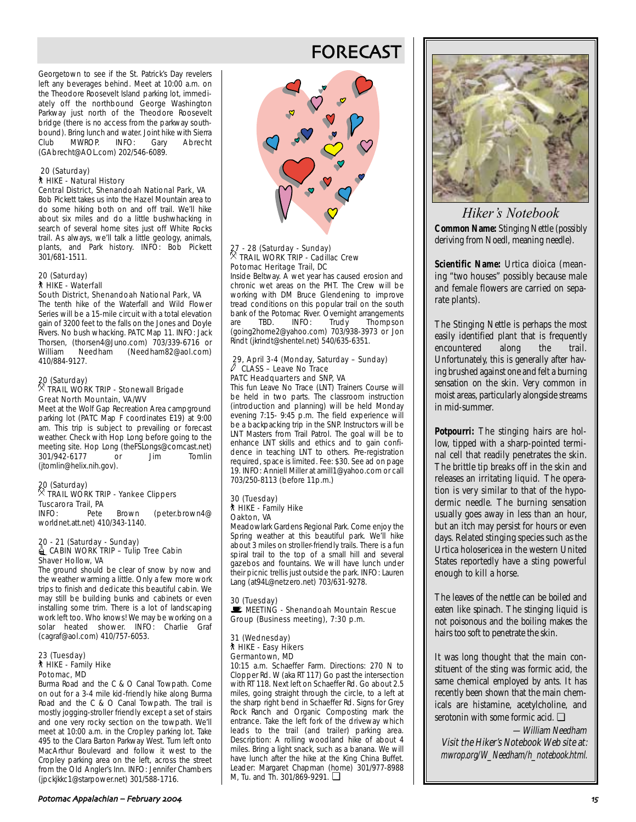Georgetown to see if the St. Patrick's Day revelers left any beverages behind. Meet at 10:00 a.m. on the Theodore Roosevelt Island parking lot, immediately off the northbound George Washington Parkway just north of the Theodore Roosevelt bridge (there is no access from the parkway southbound). Bring lunch and water. Joint hike with Sierra<br>Club MWROP. INFO: Gary Abrecht Club MWROP. INFO: Gary Abrecht (GAbrecht@AOL.com) 202/546-6089.

#### 20 (Saturday) ` HIKE - Natural History

### Central District, Shenandoah National Park, VA

Bob Pickett takes us into the Hazel Mountain area to do some hiking both on and off trail. We'll hike about six miles and do a little bushwhacking in search of several home sites just off White Rocks trail. As always, we'll talk a little geology, animals, plants, and Park history. INFO: Bob Pickett 301/681-1511.

#### 20 (Saturday) ` HIKE - Waterfall

#### South District, Shenandoah National Park, VA

The tenth hike of the Waterfall and Wild Flower Series will be a 15-mile circuit with a total elevation gain of 3200 feet to the falls on the Jones and Doyle Rivers. No bush whacking. PATC Map 11. INFO: Jack Thorsen, (thorsen4@Juno.com) 703/339-6716 or William Needham (Needham82@aol.com) 410/884-9127.

### 20 (Saturday) . TRAIL WORK TRIP - Stonewall Brigade Great North Mountain, VA/WV

Meet at the Wolf Gap Recreation Area campground parking lot (PATC Map F coordinates E19) at 9:00 am. This trip is subject to prevailing or forecast weather. Check with Hop Long before going to the meeting site. Hop Long (the FSLongs@comcast.net)<br>301/942-6177 or lim Tomlin 301/942-6177 or Jim (jtomlin@helix.nih.gov).

## 20 (Saturday) . TRAIL WORK TRIP - Yankee Clippers

**Tuscarora Trail, PA**<br>INFO: Pete Brown (peter.brown4@ worldnet.att.net) 410/343-1140.

#### 20 - 21 (Saturday - Sunday)  $\triangle$  CABIN WORK TRIP – Tulip Tree Cabin Shaver Hollow, VA

The ground should be clear of snow by now and the weather warming a little. Only a few more work trips to finish and dedicate this beautiful cabin. We may still be building bunks and cabinets or even installing some trim. There is a lot of landscaping work left too. Who knows! We may be working on a solar heated shower. INFO: Charlie Graf (cagraf@aol.com) 410/757-6053.

#### 23 (Tuesday) ` HIKE - Family Hike Potomac, MD

Burma Road and the C & O Canal Towpath. Come on out for a 3-4 mile kid-friendly hike along Burma Road and the C & O Canal Towpath. The trail is mostly jogging-stroller friendly except a set of stairs and one very rocky section on the towpath. We'll meet at 10:00 a.m. in the Cropley parking lot. Take 495 to the Clara Barton Parkway West. Turn left onto MacArthur Boulevard and follow it west to the Cropley parking area on the left, across the street from the Old Angler's Inn. INFO: Jennifer Chambers (jpckjkkc1@starpower.net) 301/588-1716.

## FORECAST



### 27 - 28 (Saturday - Sunday)<br>X TRAIL WORK THE C . TRAIL WORK TRIP - Cadillac Crew Potomac Heritage Trail, DC

Inside Beltway. A wet year has caused erosion and chronic wet areas on the PHT. The Crew will be working with DM Bruce Glendening to improve tread conditions on this popular trail on the south bank of the Potomac River. Overnight arrangements are TBD. INFO: Trudy Thompson (going2home2@yahoo.com) 703/938-3973 or Jon Rindt (jkrindt@shentel.net) 540/635-6351.

#### 29, April 3-4 (Monday, Saturday – Sunday)  $\overline{\mathcal{O}}$  CLASS – Leave No Trace PATC Headquarters and SNP, VA

This fun Leave No Trace (LNT) Trainers Course will be held in two parts. The classroom instruction (introduction and planning) will be held Monday evening 7:15- 9:45 p.m. The field experience will be a backpacking trip in the SNP. Instructors will be LNT Masters from Trail Patrol. The goal will be to enhance LNT skills and ethics and to gain confidence in teaching LNT to others. Pre-registration required, space is limited. Fee: \$30. See ad on page 19. INFO: Anniell Miller at amill1@yahoo.com or call 703/250-8113 (before 11p.m.)

#### 30 (Tuesday) ` HIKE - Family Hike Oakton, VA

Meadowlark Gardens Regional Park. Come enjoy the Spring weather at this beautiful park. We'll hike about 3 miles on stroller-friendly trails. There is a fun spiral trail to the top of a small hill and several gazebos and fountains. We will have lunch under their picnic trellis just outside the park. INFO: Lauren Lang (at94L@netzero.net) 703/631-9278.

#### 30 (Tuesday) MEETING - Shenandoah Mountain Rescue Group (Business meeting), 7:30 p.m.

#### 31 (Wednesday) ` HIKE - Easy Hikers Germantown, MD

10:15 a.m. Schaeffer Farm. Directions: 270 N to Clopper Rd. W (aka RT 117) Go past the intersection with RT 118. Next left on Schaeffer Rd. Go about 2.5 miles, going straight through the circle, to a left at the sharp right bend in Schaeffer Rd. Signs for Grey Rock Ranch and Organic Composting mark the entrance. Take the left fork of the driveway which leads to the trail (and trailer) parking area. Description: A rolling woodland hike of about 4 miles. Bring a light snack, such as a banana. We will have lunch after the hike at the King China Buffet. Leader: Margaret Chapman (home) 301/977-8988 M, Tu. and Th. 301/869-9291. ❏



*Hiker's Notebook* **Common Name:** Stinging Nettle (possibly deriving from Noedl, meaning needle).

**Scientific Name:** Urtica dioica (meaning "two houses" possibly because male and female flowers are carried on separate plants).

The Stinging Nettle is perhaps the most easily identified plant that is frequently encountered along the trail. Unfortunately, this is generally after having brushed against one and felt a burning sensation on the skin. Very common in moist areas, particularly alongside streams in mid-summer.

**Potpourri:** The stinging hairs are hollow, tipped with a sharp-pointed terminal cell that readily penetrates the skin. The brittle tip breaks off in the skin and releases an irritating liquid. The operation is very similar to that of the hypodermic needle. The burning sensation usually goes away in less than an hour, but an itch may persist for hours or even days. Related stinging species such as the Urtica holosericea in the western United States reportedly have a sting powerful enough to kill a horse.

The leaves of the nettle can be boiled and eaten like spinach. The stinging liquid is not poisonous and the boiling makes the hairs too soft to penetrate the skin.

It was long thought that the main constituent of the sting was formic acid, the same chemical employed by ants. It has recently been shown that the main chemicals are histamine, acetylcholine, and serotonin with some formic acid. ❏

—William Needham Visit the Hiker's Notebook Web site at: mwrop.org/W\_Needham/h\_notebook.html.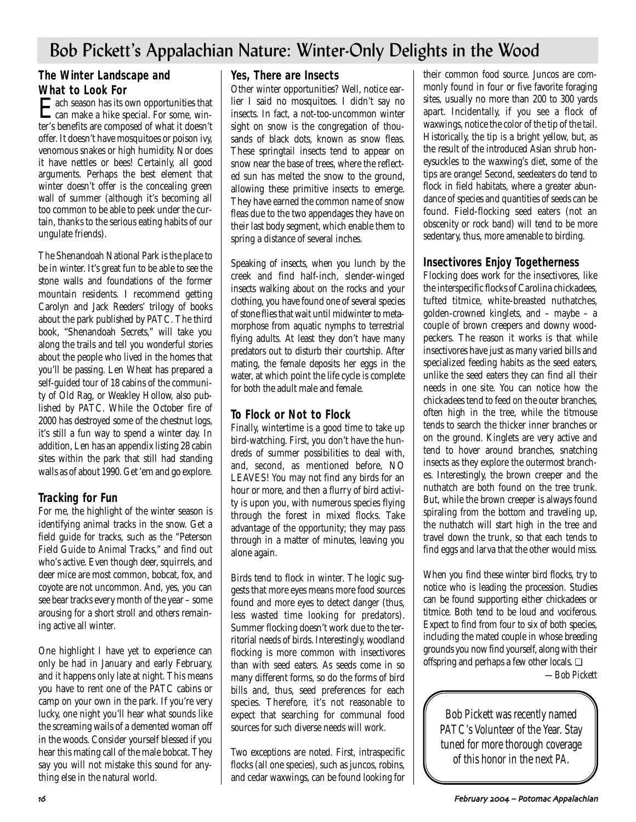## Bob Pickett's Appalachian Nature: Winter-Only Delights in the Wood

### **The Winter Landscape and What to Look For**

**Each season has its own opportunities that**<br>can make a hike special. For some, winter's benefits are composed of what it doesn't offer. It doesn't have mosquitoes or poison ivy, venomous snakes or high humidity. Nor does it have nettles or bees! Certainly, all good arguments. Perhaps the best element that winter doesn't offer is the concealing green wall of summer (although it's becoming all too common to be able to peek under the curtain, thanks to the serious eating habits of our ungulate friends).

The Shenandoah National Park is the place to be in winter. It's great fun to be able to see the stone walls and foundations of the former mountain residents. I recommend getting Carolyn and Jack Reeders' trilogy of books about the park published by PATC. The third book, "Shenandoah Secrets," will take you along the trails and tell you wonderful stories about the people who lived in the homes that you'll be passing. Len Wheat has prepared a self-guided tour of 18 cabins of the community of Old Rag, or Weakley Hollow, also published by PATC. While the October fire of 2000 has destroyed some of the chestnut logs, it's still a fun way to spend a winter day. In addition, Len has an appendix listing 28 cabin sites within the park that still had standing walls as of about 1990. Get 'em and go explore.

### **Tracking for Fun**

For me, the highlight of the winter season is identifying animal tracks in the snow. Get a field guide for tracks, such as the "Peterson Field Guide to Animal Tracks," and find out who's active. Even though deer, squirrels, and deer mice are most common, bobcat, fox, and coyote are not uncommon. And, yes, you can see bear tracks every month of the year – some arousing for a short stroll and others remaining active all winter.

One highlight I have yet to experience can only be had in January and early February, and it happens only late at night. This means you have to rent one of the PATC cabins or camp on your own in the park. If you're very lucky, one night you'll hear what sounds like the screaming wails of a demented woman off in the woods. Consider yourself blessed if you hear this mating call of the male bobcat. They say you will not mistake this sound for anything else in the natural world.

### **Yes, There are Insects**

Other winter opportunities? Well, notice earlier I said no mosquitoes. I didn't say no insects. In fact, a not-too-uncommon winter sight on snow is the congregation of thousands of black dots, known as snow fleas. These springtail insects tend to appear on snow near the base of trees, where the reflected sun has melted the snow to the ground, allowing these primitive insects to emerge. They have earned the common name of snow fleas due to the two appendages they have on their last body segment, which enable them to spring a distance of several inches.

Speaking of insects, when you lunch by the creek and find half-inch, slender-winged insects walking about on the rocks and your clothing, you have found one of several species of stone flies that wait until midwinter to metamorphose from aquatic nymphs to terrestrial flying adults. At least they don't have many predators out to disturb their courtship. After mating, the female deposits her eggs in the water, at which point the life cycle is complete for both the adult male and female.

### **To Flock or Not to Flock**

Finally, wintertime is a good time to take up bird-watching. First, you don't have the hundreds of summer possibilities to deal with, and, second, as mentioned before, NO LEAVES! You may not find any birds for an hour or more, and then a flurry of bird activity is upon you, with numerous species flying through the forest in mixed flocks. Take advantage of the opportunity; they may pass through in a matter of minutes, leaving you alone again.

Birds tend to flock in winter. The logic suggests that more eyes means more food sources found and more eyes to detect danger (thus, less wasted time looking for predators). Summer flocking doesn't work due to the territorial needs of birds. Interestingly, woodland flocking is more common with insectivores than with seed eaters. As seeds come in so many different forms, so do the forms of bird bills and, thus, seed preferences for each species. Therefore, it's not reasonable to expect that searching for communal food sources for such diverse needs will work.

Two exceptions are noted. First, intraspecific flocks (all one species), such as juncos, robins, and cedar waxwings, can be found looking for

their common food source. Juncos are commonly found in four or five favorite foraging sites, usually no more than 200 to 300 yards apart. Incidentally, if you see a flock of waxwings, notice the color of the tip of the tail. Historically, the tip is a bright yellow, but, as the result of the introduced Asian shrub honeysuckles to the waxwing's diet, some of the tips are orange! Second, seedeaters do tend to flock in field habitats, where a greater abundance of species and quantities of seeds can be found. Field-flocking seed eaters (not an obscenity or rock band) will tend to be more sedentary, thus, more amenable to birding.

### **Insectivores Enjoy Togetherness**

Flocking does work for the insectivores, like the interspecific flocks of Carolina chickadees, tufted titmice, white-breasted nuthatches, golden-crowned kinglets, and – maybe – a couple of brown creepers and downy woodpeckers. The reason it works is that while insectivores have just as many varied bills and specialized feeding habits as the seed eaters, unlike the seed eaters they can find all their needs in one site. You can notice how the chickadees tend to feed on the outer branches, often high in the tree, while the titmouse tends to search the thicker inner branches or on the ground. Kinglets are very active and tend to hover around branches, snatching insects as they explore the outermost branches. Interestingly, the brown creeper and the nuthatch are both found on the tree trunk. But, while the brown creeper is always found spiraling from the bottom and traveling up, the nuthatch will start high in the tree and travel down the trunk, so that each tends to find eggs and larva that the other would miss.

When you find these winter bird flocks, try to notice who is leading the procession. Studies can be found supporting either chickadees or titmice. Both tend to be loud and vociferous. Expect to find from four to six of both species, including the mated couple in whose breeding grounds you now find yourself, along with their offspring and perhaps a few other locals. ❏

*—Bob Pickett*

Bob Pickett was recently named PATC's Volunteer of the Year. Stay tuned for more thorough coverage of this honor in the next *PA*.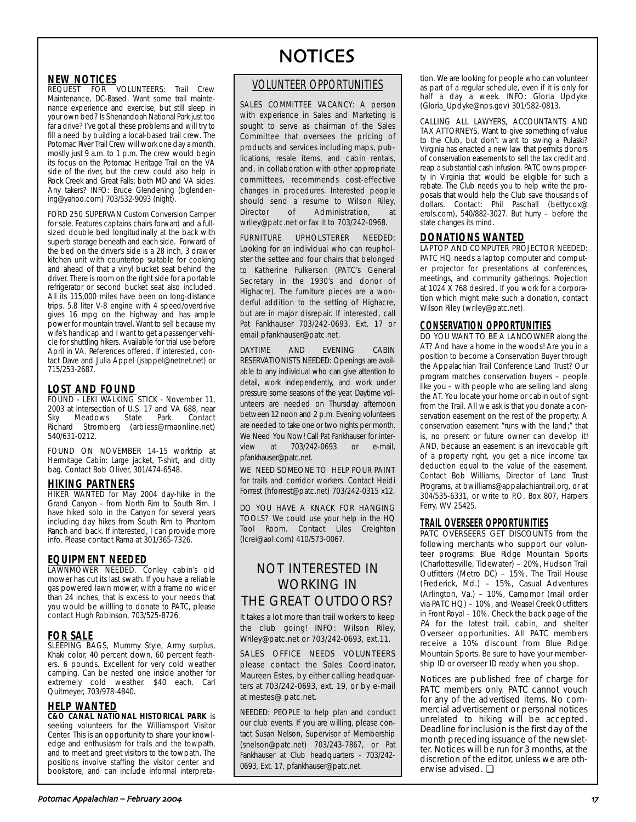### **NEW NOTICES**

**REQUEST FOR VOLUNTEERS:** Trail Crew Maintenance, DC-Based. Want some trail maintenance experience and exercise, but still sleep in your own bed? Is Shenandoah National Park just too far a drive? I've got all these problems and will try to fill a need by building a local-based trail crew. The Potomac River Trail Crew will work one day a month, mostly just 9 a.m. to 1 p.m. The crew would begin its focus on the Potomac Heritage Trail on the VA side of the river, but the crew could also help in Rock Creek and Great Falls; both MD and VA sides. Any takers? INFO: Bruce Glendening (bglendening@yahoo.com) 703/532-9093 (night).

FORD 250 SUPERVAN Custom Conversion Camper for sale. Features captains chairs forward and a fullsized double bed longitudinally at the back with superb storage beneath and each side. Forward of the bed on the driver's side is a 28 inch, 3 drawer kitchen unit with countertop suitable for cooking and ahead of that a vinyl bucket seat behind the driver. There is room on the right side for a portable refrigerator or second bucket seat also included. All its 115,000 miles have been on long-distance trips. 5.8 liter V-8 engine with 4 speed/overdrive gives 16 mpg on the highway and has ample power for mountain travel. Want to sell because my wife's handicap and I want to get a passenger vehicle for shuttling hikers. Available for trial use before April in VA. References offered. If interested, contact Dave and Julia Appel (jsappel@netnet.net) or 715/253-2687.

### **LOST AND FOUND**

FOUND - LEKI WALKING STICK - November 11, 2003 at intersection of U.S. 17 and VA 688, near Meadows State Richard Stromberg (arbiess@rmaonline.net) 540/631-0212.

FOUND ON NOVEMBER 14-15 worktrip at Hermitage Cabin: Large jacket, T-shirt, and ditty bag. Contact Bob Oliver, 301/474-6548.

### **HIKING PARTNERS**

**HIKER WANTED** for May 2004 day-hike in the Grand Canyon - from North Rim to South Rim. I have hiked solo in the Canyon for several years including day hikes from South Rim to Phantom Ranch and back. If interested, I can provide more info. Please contact Rama at 301/365-7326.

### **EQUIPMENT NEEDED**

LAWNMOWER NEEDED. Conley cabin's old mower has cut its last swath. If you have a reliable gas powered lawn mower, with a frame no wider than 24 inches, that is excess to your needs that you would be willling to donate to PATC, please contact Hugh Robinson, 703/525-8726.

### **FOR SALE**

**SLEEPING BAGS, Mummy Style, Army surplus,** Khaki color, 40 percent down, 60 percent feathers. 6 pounds. Excellent for very cold weather camping. Can be nested one inside another for extremely cold weather. \$40 each. Carl Quitmeyer, 703/978-4840.

### **HELP WANTED**

**C&O CANAL NATIONAL HISTORICAL PARK** is seeking volunteers for the Williamsport Visitor Center. This is an opportunity to share your knowledge and enthusiasm for trails and the towpath, and to meet and greet visitors to the towpath. The positions involve staffing the visitor center and bookstore, and can include informal interpreta-

# **NOTICES**

### VOLUNTEER OPPORTUNITIES

SALES COMMITTEE VACANCY: A person with experience in Sales and Marketing is sought to serve as chairman of the Sales Committee that oversees the pricing of products and services including maps, publications, resale items, and cabin rentals, and, in collaboration with other appropriate committees, recommends cost-effective changes in procedures. Interested people should send a resume to Wilson Riley, Director of Administration, at wriley@patc.net or fax it to 703/242-0968.

FURNITURE UPHOLSTERER NEEDED: Looking for an individual who can reupholster the settee and four chairs that belonged to Katherine Fulkerson (PATC's General Secretary in the 1930's and donor of Highacre). The furniture pieces are a wonderful addition to the setting of Highacre, but are in major disrepair. If interested, call Pat Fankhauser 703/242-0693, Ext. 17 or email pfankhauser@patc.net.

DAYTIME AND EVENING CABIN RESERVATIONISTS NEEDED: Openings are available to any individual who can give attention to detail, work independently, and work under pressure some seasons of the year. Daytime volunteers are needed on Thursday afternoon between 12 noon and 2 p.m. Evening volunteers are needed to take one or two nights per month. We Need You Now! Call Pat Fankhauser for interview at 703/242-0693 or e-mail, pfankhauser@patc.net.

WE NEED SOMEONE TO HELP POUR PAINT for trails and corridor workers. Contact Heidi Forrest (hforrest@patc.net) 703/242-0315 x12.

DO YOU HAVE A KNACK FOR HANGING TOOLS? We could use your help in the HQ Tool Room. Contact Liles Creighton (lcrei@aol.com) 410/573-0067.

## NOT INTERESTED IN WORKING IN THE GREAT OUTDOORS?

It takes a lot more than trail workers to keep the club going! INFO: Wilson Riley, Wriley@patc.net or 703/242-0693, ext.11.

SALES OFFICE NEEDS VOLUNTEERS please contact the Sales Coordinator, Maureen Estes, by either calling headquarters at 703/242-0693, ext. 19, or by e-mail at mestes@ patc.net.

NEEDED: PEOPLE to help plan and conduct our club events. If you are willing, please contact Susan Nelson, Supervisor of Membership (snelson@patc.net) 703/243-7867, or Pat Fankhauser at Club headquarters - 703/242- 0693, Ext. 17, pfankhauser@patc.net.

tion. We are looking for people who can volunteer as part of a regular schedule, even if it is only for half a day a week. INFO: Gloria Updyke (Gloria\_Updyke@nps.gov) 301/582-0813.

CALLING ALL LAWYERS, ACCOUNTANTS AND TAX ATTORNEYS. Want to give something of value to the Club, but don't want to swing a Pulaski? Virginia has enacted a new law that permits donors of conservation easements to sell the tax credit and reap a substantial cash infusion. PATC owns property in Virginia that would be eligible for such a rebate. The Club needs you to help write the proposals that would help the Club save thousands of dollars. Contact: Phil Paschall (bettycox@ erols.com), 540/882-3027. But hurry – before the state changes its mind.

#### **DONATIONS WANTED** LAPTOP AND COMPUTER PROJECTOR NEEDED:

PATC HQ needs a laptop computer and computer projector for presentations at conferences, meetings, and community gatherings. Projection at 1024 X 768 desired. If you work for a corporation which might make such a donation, contact Wilson Riley (wriley@patc.net).

### **CONSERVATION OPPORTUNITIES**

DO YOU WANT TO BE A LANDOWNER along the AT? And have a home in the woods! Are you in a position to become a Conservation Buyer through the Appalachian Trail Conference Land Trust? Our program matches conservation buyers – people like you – with people who are selling land along the AT. You locate your home or cabin out of sight from the Trail. All we ask is that you donate a conservation easement on the rest of the property. A conservation easement "runs with the land;" that is, no present or future owner can develop it! AND, because an easement is an irrevocable gift of a property right, you get a nice income tax deduction equal to the value of the easement. Contact Bob Williams, Director of Land Trust Programs, at bwilliams@appalachiantrail.org, or at 304/535-6331, or write to P.O. Box 807, Harpers Ferry, WV 25425.

### **TRAIL OVERSEER OPPORTUNITIES**

PATC OVERSEERS GET DISCOUNTS from the following merchants who support our volunteer programs: Blue Ridge Mountain Sports (Charlottesville, Tidewater) – 20%, Hudson Trail Outfitters (Metro DC) – 15%, The Trail House (Frederick, Md.) – 15%, Casual Adventures (Arlington, Va.) – 10%, Campmor (mail order via PATC HQ) – 10%, and Weasel Creek Outfitters in Front Royal – 10%. Check the back page of the PA for the latest trail, cabin, and shelter Overseer opportunities. All PATC members receive a 10% discount from Blue Ridge Mountain Sports. Be sure to have your membership ID or overseer ID ready when you shop.

Notices are published free of charge for PATC members only. PATC cannot vouch for any of the advertised items. No commercial advertisement or personal notices unrelated to hiking will be accepted. Deadline for inclusion is the first day of the month preceding issuance of the newsletter. Notices will be run for 3 months, at the discretion of the editor, unless we are otherwise advised. ❏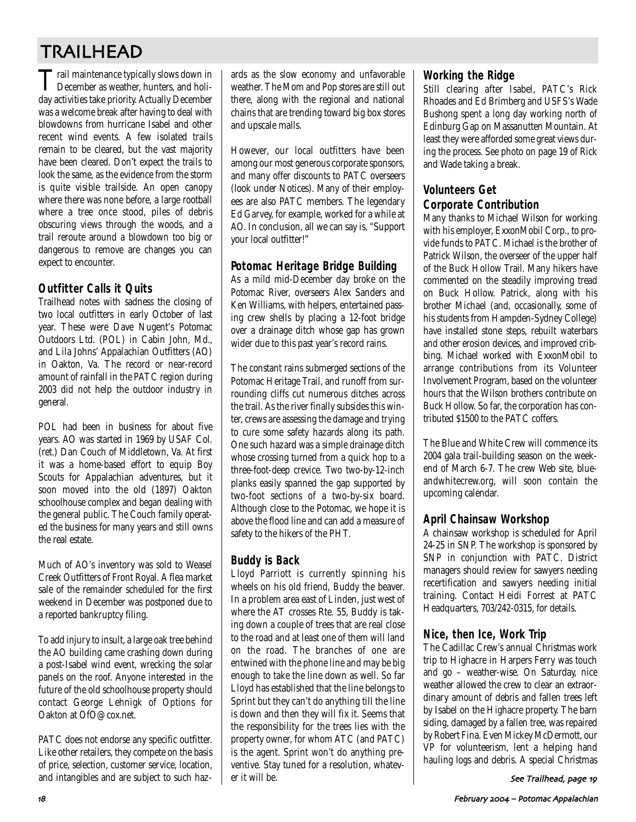# TRAILHEAD

Trail maintenance typically slows down in December as weather, hunters, and holiday activities take priority. Actually December was a welcome break after having to deal with blowdowns from hurricane Isabel and other recent wind events. A few isolated trails remain to be cleared, but the vast majority have been cleared. Don't expect the trails to look the same, as the evidence from the storm is quite visible trailside. An open canopy where there was none before, a large rootball where a tree once stood, piles of debris obscuring views through the woods, and a trail reroute around a blowdown too big or dangerous to remove are changes you can expect to encounter.

### **Outfitter Calls it Quits**

Trailhead notes with sadness the closing of two local outfitters in early October of last year. These were Dave Nugent's Potomac Outdoors Ltd. (POL) in Cabin John, Md., and Lila Johns' Appalachian Outfitters (AO) in Oakton, Va. The record or near-record amount of rainfall in the PATC region during 2003 did not help the outdoor industry in general.

POL had been in business for about five years. AO was started in 1969 by USAF Col. (ret.) Dan Couch of Middletown, Va. At first it was a home-based effort to equip Boy Scouts for Appalachian adventures, but it soon moved into the old (1897) Oakton schoolhouse complex and began dealing with the general public. The Couch family operated the business for many years and still owns the real estate.

Much of AO's inventory was sold to Weasel Creek Outfitters of Front Royal. A flea market sale of the remainder scheduled for the first weekend in December was postponed due to a reported bankruptcy filing.

To add injury to insult, a large oak tree behind the AO building came crashing down during a post-Isabel wind event, wrecking the solar panels on the roof. Anyone interested in the future of the old schoolhouse property should contact George Lehnigk of Options for Oakton at OfO@cox.net.

PATC does not endorse any specific outfitter. Like other retailers, they compete on the basis of price, selection, customer service, location, and intangibles and are subject to such hazards as the slow economy and unfavorable weather. The Mom and Pop stores are still out there, along with the regional and national chains that are trending toward big box stores and upscale malls.

However, our local outfitters have been among our most generous corporate sponsors, and many offer discounts to PATC overseers (look under Notices). Many of their employees are also PATC members. The legendary Ed Garvey, for example, worked for a while at AO. In conclusion, all we can say is, "Support your local outfitter!"

### **Potomac Heritage Bridge Building**

As a mild mid-December day broke on the Potomac River, overseers Alex Sanders and Ken Williams, with helpers, entertained passing crew shells by placing a 12-foot bridge over a drainage ditch whose gap has grown wider due to this past year's record rains.

The constant rains submerged sections of the Potomac Heritage Trail, and runoff from surrounding cliffs cut numerous ditches across the trail. As the river finally subsides this winter, crews are assessing the damage and trying to cure some safety hazards along its path. One such hazard was a simple drainage ditch whose crossing turned from a quick hop to a three-foot-deep crevice. Two two-by-12-inch planks easily spanned the gap supported by two-foot sections of a two-by-six board. Although close to the Potomac, we hope it is above the flood line and can add a measure of safety to the hikers of the PHT.

## **Buddy is Back**

Lloyd Parriott is currently spinning his wheels on his old friend, Buddy the beaver. In a problem area east of Linden, just west of where the AT crosses Rte. 55, Buddy is taking down a couple of trees that are real close to the road and at least one of them will land on the road. The branches of one are entwined with the phone line and may be big enough to take the line down as well. So far Lloyd has established that the line belongs to Sprint but they can't do anything till the line is down and then they will fix it. Seems that the responsibility for the trees lies with the property owner, for whom ATC (and PATC) is the agent. Sprint won't do anything preventive. Stay tuned for a resolution, whatever it will be.

### **Working the Ridge**

Still clearing after Isabel, PATC's Rick Rhoades and Ed Brimberg and USFS's Wade Bushong spent a long day working north of Edinburg Gap on Massanutten Mountain. At least they were afforded some great views during the process. See photo on page 19 of Rick and Wade taking a break.

## **Volunteers Get Corporate Contribution**

Many thanks to Michael Wilson for working with his employer, ExxonMobil Corp., to provide funds to PATC. Michael is the brother of Patrick Wilson, the overseer of the upper half of the Buck Hollow Trail. Many hikers have commented on the steadily improving tread on Buck Hollow. Patrick, along with his brother Michael (and, occasionally, some of his students from Hampden-Sydney College) have installed stone steps, rebuilt waterbars and other erosion devices, and improved cribbing. Michael worked with ExxonMobil to arrange contributions from its Volunteer Involvement Program, based on the volunteer hours that the Wilson brothers contribute on Buck Hollow. So far, the corporation has contributed \$1500 to the PATC coffers.

The Blue and White Crew will commence its 2004 gala trail-building season on the weekend of March 6-7. The crew Web site, blueandwhitecrew.org, will soon contain the upcoming calendar.

### **April Chainsaw Workshop**

A chainsaw workshop is scheduled for April 24-25 in SNP. The workshop is sponsored by SNP in conjunction with PATC. District managers should review for sawyers needing recertification and sawyers needing initial training. Contact Heidi Forrest at PATC Headquarters, 703/242-0315, for details.

### **Nice, then Ice, Work Trip**

The Cadillac Crew's annual Christmas work trip to Highacre in Harpers Ferry was touch and go – weather-wise. On Saturday, nice weather allowed the crew to clear an extraordinary amount of debris and fallen trees left by Isabel on the Highacre property. The barn siding, damaged by a fallen tree, was repaired by Robert Fina. Even Mickey McDermott, our VP for volunteerism, lent a helping hand hauling logs and debris. A special Christmas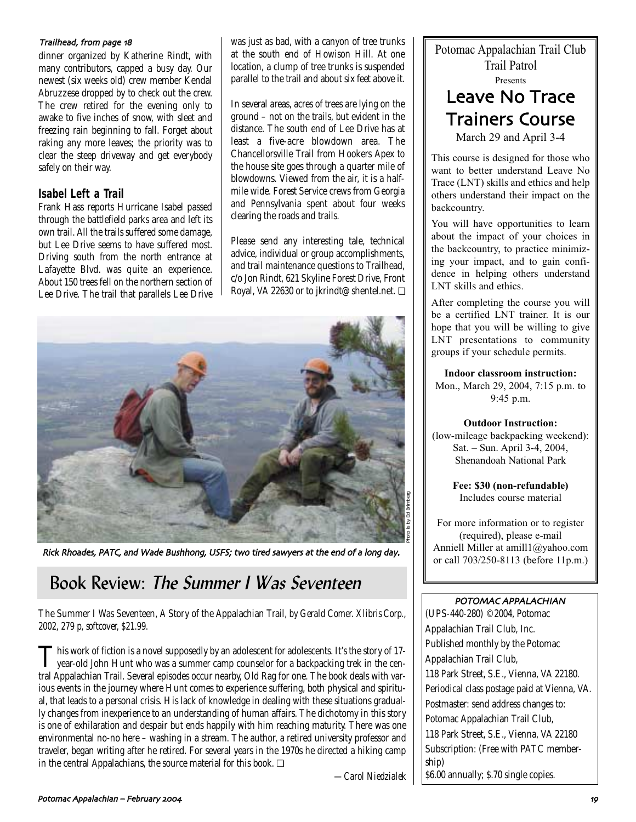#### Trailhead, from page 18

dinner organized by Katherine Rindt, with many contributors, capped a busy day. Our newest (six weeks old) crew member Kendal Abruzzese dropped by to check out the crew. The crew retired for the evening only to awake to five inches of snow, with sleet and freezing rain beginning to fall. Forget about raking any more leaves; the priority was to clear the steep driveway and get everybody safely on their way.

### **Isabel Left a Trail**

Frank Hass reports Hurricane Isabel passed through the battlefield parks area and left its own trail. All the trails suffered some damage, but Lee Drive seems to have suffered most. Driving south from the north entrance at Lafayette Blvd. was quite an experience. About 150 trees fell on the northern section of Lee Drive. The trail that parallels Lee Drive was just as bad, with a canyon of tree trunks at the south end of Howison Hill. At one location, a clump of tree trunks is suspended parallel to the trail and about six feet above it.

In several areas, acres of trees are lying on the ground – not on the trails, but evident in the distance. The south end of Lee Drive has at least a five-acre blowdown area. The Chancellorsville Trail from Hookers Apex to the house site goes through a quarter mile of blowdowns. Viewed from the air, it is a halfmile wide. Forest Service crews from Georgia and Pennsylvania spent about four weeks clearing the roads and trails.

Please send any interesting tale, technical advice, individual or group accomplishments, and trail maintenance questions to Trailhead, c/o Jon Rindt, 621 Skyline Forest Drive, Front Royal, VA 22630 or to jkrindt@shentel.net. ❏



Rick Rhoades, PATC, and Wade Bushhong, USFS; two tired sawyers at the end of a long day.

## Book Review: The Summer I Was Seventeen

The Summer I Was Seventeen, A Story of the Appalachian Trail*, by Gerald Comer. Xlibris Corp., 2002, 279 p, softcover, \$21.99.*

This work of fiction is a novel supposedly by an adolescent for adolescents. It's the story of 17-<br>year-old John Hunt who was a summer camp counselor for a backpacking trek in the central Appalachian Trail. Several episodes occur nearby, Old Rag for one. The book deals with various events in the journey where Hunt comes to experience suffering, both physical and spiritual, that leads to a personal crisis. His lack of knowledge in dealing with these situations gradually changes from inexperience to an understanding of human affairs. The dichotomy in this story is one of exhilaration and despair but ends happily with him reaching maturity. There was one environmental no-no here – washing in a stream. The author, a retired university professor and traveler, began writing after he retired. For several years in the 1970s he directed a hiking camp in the central Appalachians, the source material for this book. ❏

*—Carol Niedzialek*

Potomac Appalachian Trail Club Trail Patrol Presents Leave No Trace Trainers Course March 29 and April 3-4

This course is designed for those who want to better understand Leave No Trace (LNT) skills and ethics and help others understand their impact on the backcountry.

You will have opportunities to learn about the impact of your choices in the backcountry, to practice minimizing your impact, and to gain confidence in helping others understand LNT skills and ethics.

After completing the course you will be a certified LNT trainer. It is our hope that you will be willing to give LNT presentations to community groups if your schedule permits.

**Indoor classroom instruction:** Mon., March 29, 2004, 7:15 p.m. to 9:45 p.m.

#### **Outdoor Instruction:**

(low-mileage backpacking weekend): Sat. – Sun. April 3-4, 2004, Shenandoah National Park

> **Fee: \$30 (non-refundable)** Includes course material

For more information or to register (required), please e-mail Anniell Miller at amill1@yahoo.com or call 703/250-8113 (before 11p.m.)

### POTOMAC APPALACHIAN

(UPS-440-280) ©2004, Potomac Appalachian Trail Club, Inc. Published monthly by the Potomac Appalachian Trail Club, 118 Park Street, S.E., Vienna, VA 22180. Periodical class postage paid at Vienna, VA. Postmaster: send address changes to: Potomac Appalachian Trail Club, 118 Park Street, S.E., Vienna, VA 22180 Subscription: (Free with PATC membership) \$6.00 annually; \$.70 single copies.